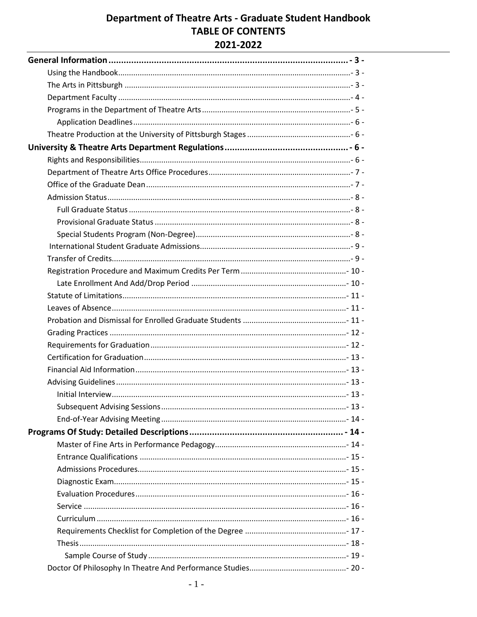## **Department of Theatre Arts - Graduate Student Handbook TABLE OF CONTENTS** 2021-2022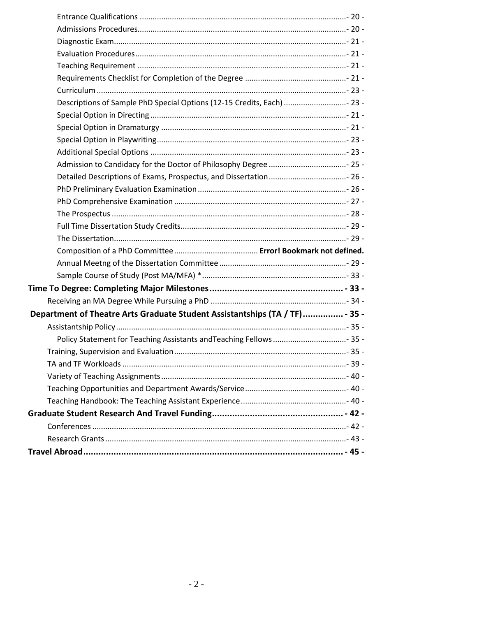<span id="page-1-0"></span>

| Descriptions of Sample PhD Special Options (12-15 Credits, Each)  23 -      |  |
|-----------------------------------------------------------------------------|--|
|                                                                             |  |
|                                                                             |  |
|                                                                             |  |
|                                                                             |  |
|                                                                             |  |
|                                                                             |  |
|                                                                             |  |
|                                                                             |  |
|                                                                             |  |
|                                                                             |  |
|                                                                             |  |
|                                                                             |  |
|                                                                             |  |
|                                                                             |  |
|                                                                             |  |
|                                                                             |  |
| Department of Theatre Arts Graduate Student Assistantships (TA / TF) - 35 - |  |
|                                                                             |  |
| Policy Statement for Teaching Assistants and Teaching Fellows  35 -         |  |
|                                                                             |  |
|                                                                             |  |
|                                                                             |  |
|                                                                             |  |
|                                                                             |  |
|                                                                             |  |
|                                                                             |  |
|                                                                             |  |
|                                                                             |  |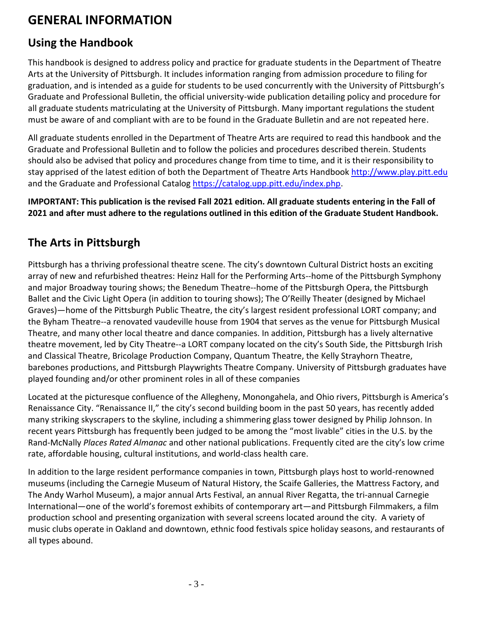# **GENERAL INFORMATION**

## <span id="page-2-0"></span>**Using the Handbook**

This handbook is designed to address policy and practice for graduate students in the Department of Theatre Arts at the University of Pittsburgh. It includes information ranging from admission procedure to filing for graduation, and is intended as a guide for students to be used concurrently with the University of Pittsburgh's Graduate and Professional Bulletin, the official university-wide publication detailing policy and procedure for all graduate students matriculating at the University of Pittsburgh. Many important regulations the student must be aware of and compliant with are to be found in the Graduate Bulletin and are not repeated here.

All graduate students enrolled in the Department of Theatre Arts are required to read this handbook and the Graduate and Professional Bulletin and to follow the policies and procedures described therein. Students should also be advised that policy and procedures change from time to time, and it is their responsibility to stay apprised of the latest edition of both the Department of Theatre Arts Handbook [http://www.play.pitt.edu](http://www.play.pitt.edu/) and the Graduate and Professional Catalog [https://catalog.upp.pitt.edu/index.php.](https://catalog.upp.pitt.edu/index.php)

**IMPORTANT: This publication is the revised Fall 2021 edition. All graduate students entering in the Fall of 2021 and after must adhere to the regulations outlined in this edition of the Graduate Student Handbook.**

## <span id="page-2-1"></span>**The Arts in Pittsburgh**

Pittsburgh has a thriving professional theatre scene. The city's downtown Cultural District hosts an exciting array of new and refurbished theatres: Heinz Hall for the Performing Arts--home of the Pittsburgh Symphony and major Broadway touring shows; the Benedum Theatre--home of the Pittsburgh Opera, the Pittsburgh Ballet and the Civic Light Opera (in addition to touring shows); The O'Reilly Theater (designed by Michael Graves)—home of the Pittsburgh Public Theatre, the city's largest resident professional LORT company; and the Byham Theatre--a renovated vaudeville house from 1904 that serves as the venue for Pittsburgh Musical Theatre, and many other local theatre and dance companies. In addition, Pittsburgh has a lively alternative theatre movement, led by City Theatre--a LORT company located on the city's South Side, the Pittsburgh Irish and Classical Theatre, Bricolage Production Company, Quantum Theatre, the Kelly Strayhorn Theatre, barebones productions, and Pittsburgh Playwrights Theatre Company. University of Pittsburgh graduates have played founding and/or other prominent roles in all of these companies

Located at the picturesque confluence of the Allegheny, Monongahela, and Ohio rivers, Pittsburgh is America's Renaissance City. "Renaissance II," the city's second building boom in the past 50 years, has recently added many striking skyscrapers to the skyline, including a shimmering glass tower designed by Philip Johnson. In recent years Pittsburgh has frequently been judged to be among the "most livable" cities in the U.S. by the Rand-McNally *Places Rated Almanac* and other national publications. Frequently cited are the city's low crime rate, affordable housing, cultural institutions, and world-class health care.

<span id="page-2-2"></span>In addition to the large resident performance companies in town, Pittsburgh plays host to world-renowned museums (including the Carnegie Museum of Natural History, the Scaife Galleries, the Mattress Factory, and The Andy Warhol Museum), a major annual Arts Festival, an annual River Regatta, the tri-annual Carnegie International—one of the world's foremost exhibits of contemporary art—and Pittsburgh Filmmakers, a film production school and presenting organization with several screens located around the city. A variety of music clubs operate in Oakland and downtown, ethnic food festivals spice holiday seasons, and restaurants of all types abound.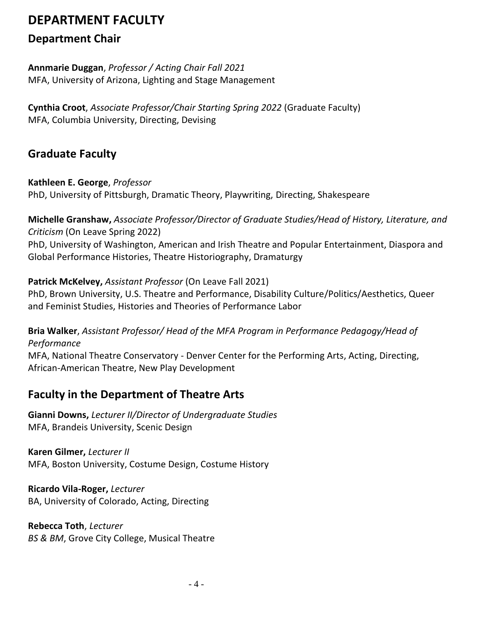# **DEPARTMENT FACULTY**

## **Department Chair**

**Annmarie Duggan**, *Professor / Acting Chair Fall 2021* MFA, University of Arizona, Lighting and Stage Management

**Cynthia Croot**, *Associate Professor/Chair Starting Spring 2022* (Graduate Faculty) MFA, Columbia University, Directing, Devising

## **Graduate Faculty**

#### **Kathleen E. George**, *Professor*

PhD, University of Pittsburgh, Dramatic Theory, Playwriting, Directing, Shakespeare

**Michelle Granshaw,** *Associate Professor/Director of Graduate Studies/Head of History, Literature, and Criticism* (On Leave Spring 2022)

PhD, University of Washington, American and Irish Theatre and Popular Entertainment, Diaspora and Global Performance Histories, Theatre Historiography, Dramaturgy

### **Patrick McKelvey,** *Assistant Professor* (On Leave Fall 2021)

PhD, Brown University, U.S. Theatre and Performance, Disability Culture/Politics/Aesthetics, Queer and Feminist Studies, Histories and Theories of Performance Labor

**Bria Walker**, *Assistant Professor/ Head of the MFA Program in Performance Pedagogy/Head of Performance*

MFA, National Theatre Conservatory - Denver Center for the Performing Arts, Acting, Directing, African-American Theatre, New Play Development

## **Faculty in the Department of Theatre Arts**

**Gianni Downs,** *Lecturer II/Director of Undergraduate Studies* MFA, Brandeis University, Scenic Design

**Karen Gilmer,** *Lecturer II* MFA, Boston University, Costume Design, Costume History

**Ricardo Vila-Roger,** *Lecturer* BA, University of Colorado, Acting, Directing

**Rebecca Toth**, *Lecturer BS & BM*, Grove City College, Musical Theatre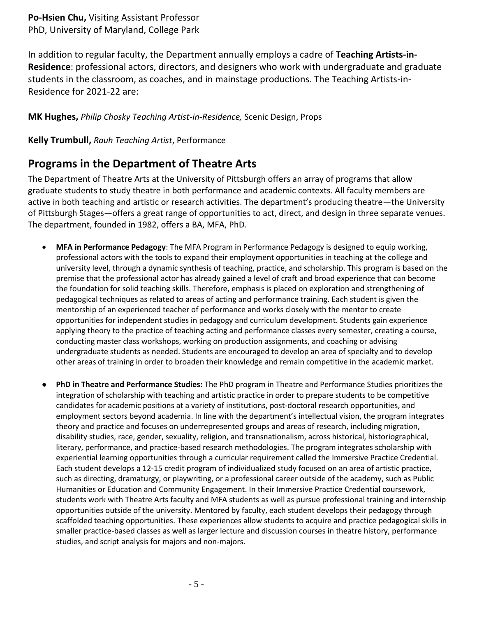**Po-Hsien Chu,** Visiting Assistant Professor PhD, University of Maryland, College Park

In addition to regular faculty, the Department annually employs a cadre of **Teaching Artists-in-Residence**: professional actors, directors, and designers who work with undergraduate and graduate students in the classroom, as coaches, and in mainstage productions. The Teaching Artists-in-Residence for 2021-22 are:

**MK Hughes,** *Philip Chosky Teaching Artist-in-Residence,* Scenic Design, Props

<span id="page-4-0"></span>**Kelly Trumbull,** *Rauh Teaching Artist*, Performance

## **Programs in the Department of Theatre Arts**

The Department of Theatre Arts at the University of Pittsburgh offers an array of programs that allow graduate students to study theatre in both performance and academic contexts. All faculty members are active in both teaching and artistic or research activities. The department's producing theatre—the University of Pittsburgh Stages—offers a great range of opportunities to act, direct, and design in three separate venues. The department, founded in 1982, offers a BA, MFA, PhD.

- **MFA in Performance Pedagogy**: The MFA Program in Performance Pedagogy is designed to equip working, professional actors with the tools to expand their employment opportunities in teaching at the college and university level, through a dynamic synthesis of teaching, practice, and scholarship. This program is based on the premise that the professional actor has already gained a level of craft and broad experience that can become the foundation for solid teaching skills. Therefore, emphasis is placed on exploration and strengthening of pedagogical techniques as related to areas of acting and performance training. Each student is given the mentorship of an experienced teacher of performance and works closely with the mentor to create opportunities for independent studies in pedagogy and curriculum development. Students gain experience applying theory to the practice of teaching acting and performance classes every semester, creating a course, conducting master class workshops, working on production assignments, and coaching or advising undergraduate students as needed. Students are encouraged to develop an area of specialty and to develop other areas of training in order to broaden their knowledge and remain competitive in the academic market.
- **PhD in Theatre and Performance Studies:** The PhD program in Theatre and Performance Studies prioritizes the integration of scholarship with teaching and artistic practice in order to prepare students to be competitive candidates for academic positions at a variety of institutions, post-doctoral research opportunities, and employment sectors beyond academia. In line with the department's intellectual vision, the program integrates theory and practice and focuses on underrepresented groups and areas of research, including migration, disability studies, race, gender, sexuality, religion, and transnationalism, across historical, historiographical, literary, performance, and practice-based research methodologies. The program integrates scholarship with experiential learning opportunities through a curricular requirement called the Immersive Practice Credential. Each student develops a 12-15 credit program of individualized study focused on an area of artistic practice, such as directing, dramaturgy, or playwriting, or a professional career outside of the academy, such as Public Humanities or Education and Community Engagement. In their Immersive Practice Credential coursework, students work with Theatre Arts faculty and MFA students as well as pursue professional training and internship opportunities outside of the university. Mentored by faculty, each student develops their pedagogy through scaffolded teaching opportunities. These experiences allow students to acquire and practice pedagogical skills in smaller practice-based classes as well as larger lecture and discussion courses in theatre history, performance studies, and script analysis for majors and non-majors.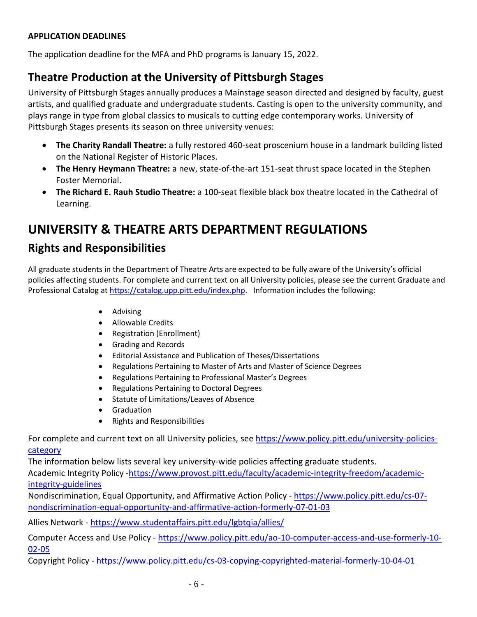#### <span id="page-5-0"></span>**APPLICATION DEADLINES**

<span id="page-5-1"></span>The application deadline for the MFA and PhD programs is January 15, 2022.

## **Theatre Production at the University of Pittsburgh Stages**

University of Pittsburgh Stages annually produces a Mainstage season directed and designed by faculty, guest artists, and qualified graduate and undergraduate students. Casting is open to the university community, and plays range in type from global classics to musicals to cutting edge contemporary works. University of Pittsburgh Stages presents its season on three university venues:

- **The Charity Randall Theatre:** a fully restored 460-seat proscenium house in a landmark building listed on the National Register of Historic Places.
- **The Henry Heymann Theatre:** a new, state-of-the-art 151-seat thrust space located in the Stephen Foster Memorial.
- **The Richard E. Rauh Studio Theatre:** a 100-seat flexible black box theatre located in the Cathedral of Learning.

# <span id="page-5-2"></span>**UNIVERSITY & THEATRE ARTS DEPARTMENT REGULATIONS**

## <span id="page-5-3"></span>**Rights and Responsibilities**

All graduate students in the Department of Theatre Arts are expected to be fully aware of the University's official policies affecting students. For complete and current text on all University policies, please see the current Graduate and Professional Catalog a[t https://catalog.upp.pitt.edu/index.php.](https://catalog.upp.pitt.edu/index.php) Information includes the following:

- Advising
- Allowable Credits
- Registration (Enrollment)
- Grading and Records
- Editorial Assistance and Publication of Theses/Dissertations
- Regulations Pertaining to Master of Arts and Master of Science Degrees
- Regulations Pertaining to Professional Master's Degrees
- Regulations Pertaining to Doctoral Degrees
- Statute of Limitations/Leaves of Absence
- Graduation
- Rights and Responsibilities

For complete and current text on all University policies, see [https://www.policy.pitt.edu/university-policies](https://www.policy.pitt.edu/university-policies-category)[category](https://www.policy.pitt.edu/university-policies-category)

The information below lists several key university-wide policies affecting graduate students.

Academic Integrity Policy [-https://www.provost.pitt.edu/faculty/academic-integrity-freedom/academic](https://www.provost.pitt.edu/faculty/academic-integrity-freedom/academic-integrity-guidelines)[integrity-guidelines](https://www.provost.pitt.edu/faculty/academic-integrity-freedom/academic-integrity-guidelines)

Nondiscrimination, Equal Opportunity, and Affirmative Action Policy - [https://www.policy.pitt.edu/cs-07](https://www.policy.pitt.edu/cs-07-nondiscrimination-equal-opportunity-and-affirmative-action-formerly-07-01-03) [nondiscrimination-equal-opportunity-and-affirmative-action-formerly-07-01-03](https://www.policy.pitt.edu/cs-07-nondiscrimination-equal-opportunity-and-affirmative-action-formerly-07-01-03)

Allies Network - <https://www.studentaffairs.pitt.edu/lgbtqia/allies/>

Computer Access and Use Policy - [https://www.policy.pitt.edu/ao-10-computer-access-and-use-formerly-10-](https://www.policy.pitt.edu/ao-10-computer-access-and-use-formerly-10-02-05) [02-05](https://www.policy.pitt.edu/ao-10-computer-access-and-use-formerly-10-02-05)

Copyright Policy - <https://www.policy.pitt.edu/cs-03-copying-copyrighted-material-formerly-10-04-01>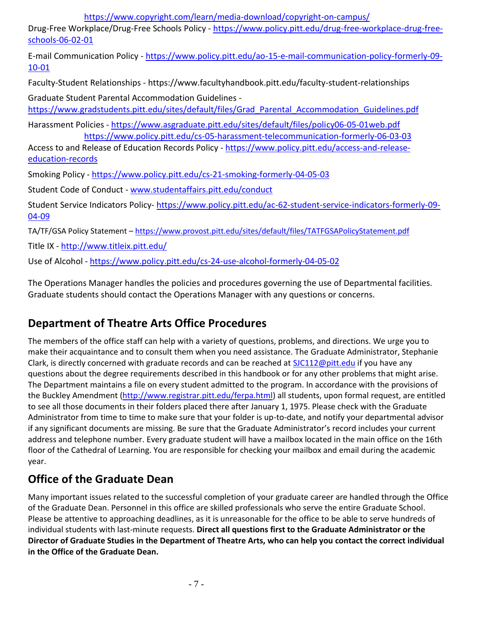<https://www.copyright.com/learn/media-download/copyright-on-campus/>

Drug-Free Workplace/Drug-Free Schools Policy - [https://www.policy.pitt.edu/drug-free-workplace-drug-free](https://www.policy.pitt.edu/drug-free-workplace-drug-free-schools-06-02-01)[schools-06-02-01](https://www.policy.pitt.edu/drug-free-workplace-drug-free-schools-06-02-01)

E-mail Communication Policy - [https://www.policy.pitt.edu/ao-15-e-mail-communication-policy-formerly-09-](https://www.policy.pitt.edu/ao-15-e-mail-communication-policy-formerly-09-10-01) [10-01](https://www.policy.pitt.edu/ao-15-e-mail-communication-policy-formerly-09-10-01)

Faculty-Student Relationships - https://www.facultyhandbook.pitt.edu/faculty-student-relationships

Graduate Student Parental Accommodation Guidelines -

[https://www.gradstudents.pitt.edu/sites/default/files/Grad\\_Parental\\_Accommodation\\_Guidelines.pdf](https://www.gradstudents.pitt.edu/sites/default/files/Grad_Parental_Accommodation_Guidelines.pdf)

Harassment Policies - <https://www.asgraduate.pitt.edu/sites/default/files/policy06-05-01web.pdf> <https://www.policy.pitt.edu/cs-05-harassment-telecommunication-formerly-06-03-03>

Access to and Release of Education Records Policy - [https://www.policy.pitt.edu/access-and-release](https://www.policy.pitt.edu/access-and-release-education-records)[education-records](https://www.policy.pitt.edu/access-and-release-education-records)

Smoking Policy - <https://www.policy.pitt.edu/cs-21-smoking-formerly-04-05-03>

Student Code of Conduct - [www.studentaffairs.pitt.edu/conduct](http://www.studentaffairs.pitt.edu/conduct)

Student Service Indicators Policy- [https://www.policy.pitt.edu/ac-62-student-service-indicators-formerly-09-](https://www.policy.pitt.edu/ac-62-student-service-indicators-formerly-09-04-09) [04-09](https://www.policy.pitt.edu/ac-62-student-service-indicators-formerly-09-04-09)

TA/TF/GSA Policy Statement – <https://www.provost.pitt.edu/sites/default/files/TATFGSAPolicyStatement.pdf>

Title IX - <http://www.titleix.pitt.edu/>

Use of Alcohol - <https://www.policy.pitt.edu/cs-24-use-alcohol-formerly-04-05-02>

<span id="page-6-0"></span>The Operations Manager handles the policies and procedures governing the use of Departmental facilities. Graduate students should contact the Operations Manager with any questions or concerns.

# **Department of Theatre Arts Office Procedures**

The members of the office staff can help with a variety of questions, problems, and directions. We urge you to make their acquaintance and to consult them when you need assistance. The Graduate Administrator, Stephanie Clark, is directly concerned with graduate records and can be reached at [SJC112@pitt.edu](mailto:SJC112@pitt.edu) if you have any questions about the degree requirements described in this handbook or for any other problems that might arise. The Department maintains a file on every student admitted to the program. In accordance with the provisions of the Buckley Amendment [\(http://www.registrar.pitt.edu/ferpa.html\)](http://www.registrar.pitt.edu/ferpa.html) all students, upon formal request, are entitled to see all those documents in their folders placed there after January 1, 1975. Please check with the Graduate Administrator from time to time to make sure that your folder is up-to-date, and notify your departmental advisor if any significant documents are missing. Be sure that the Graduate Administrator's record includes your current address and telephone number. Every graduate student will have a mailbox located in the main office on the 16th floor of the Cathedral of Learning. You are responsible for checking your mailbox and email during the academic year.

# <span id="page-6-1"></span>**Office of the Graduate Dean**

Many important issues related to the successful completion of your graduate career are handled through the Office of the Graduate Dean. Personnel in this office are skilled professionals who serve the entire Graduate School. Please be attentive to approaching deadlines, as it is unreasonable for the office to be able to serve hundreds of individual students with last-minute requests. **Direct all questions first to the Graduate Administrator or the Director of Graduate Studies in the Department of Theatre Arts, who can help you contact the correct individual in the Office of the Graduate Dean.**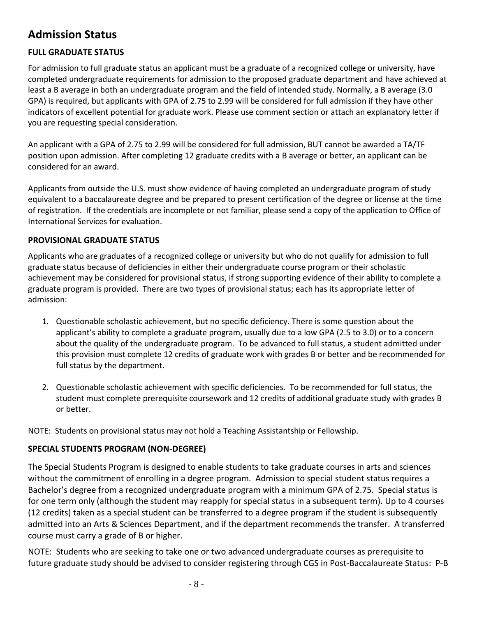## <span id="page-7-0"></span>**Admission Status**

#### <span id="page-7-1"></span>**FULL GRADUATE STATUS**

For admission to full graduate status an applicant must be a graduate of a recognized college or university, have completed undergraduate requirements for admission to the proposed graduate department and have achieved at least a B average in both an undergraduate program and the field of intended study. Normally, a B average (3.0 GPA) is required, but applicants with GPA of 2.75 to 2.99 will be considered for full admission if they have other indicators of excellent potential for graduate work. Please use comment section or attach an explanatory letter if you are requesting special consideration.

An applicant with a GPA of 2.75 to 2.99 will be considered for full admission, BUT cannot be awarded a TA/TF position upon admission. After completing 12 graduate credits with a B average or better, an applicant can be considered for an award.

Applicants from outside the U.S. must show evidence of having completed an undergraduate program of study equivalent to a baccalaureate degree and be prepared to present certification of the degree or license at the time of registration. If the credentials are incomplete or not familiar, please send a copy of the application to Office of International Services for evaluation.

#### <span id="page-7-2"></span>**PROVISIONAL GRADUATE STATUS**

Applicants who are graduates of a recognized college or university but who do not qualify for admission to full graduate status because of deficiencies in either their undergraduate course program or their scholastic achievement may be considered for provisional status, if strong supporting evidence of their ability to complete a graduate program is provided. There are two types of provisional status; each has its appropriate letter of admission:

- 1. Questionable scholastic achievement, but no specific deficiency. There is some question about the applicant's ability to complete a graduate program, usually due to a low GPA (2.5 to 3.0) or to a concern about the quality of the undergraduate program. To be advanced to full status, a student admitted under this provision must complete 12 credits of graduate work with grades B or better and be recommended for full status by the department.
- 2. Questionable scholastic achievement with specific deficiencies. To be recommended for full status, the student must complete prerequisite coursework and 12 credits of additional graduate study with grades B or better.

NOTE: Students on provisional status may not hold a Teaching Assistantship or Fellowship.

#### <span id="page-7-3"></span>**SPECIAL STUDENTS PROGRAM (NON-DEGREE)**

The Special Students Program is designed to enable students to take graduate courses in arts and sciences without the commitment of enrolling in a degree program. Admission to special student status requires a Bachelor's degree from a recognized undergraduate program with a minimum GPA of 2.75. Special status is for one term only (although the student may reapply for special status in a subsequent term). Up to 4 courses (12 credits) taken as a special student can be transferred to a degree program if the student is subsequently admitted into an Arts & Sciences Department, and if the department recommends the transfer. A transferred course must carry a grade of B or higher.

NOTE: Students who are seeking to take one or two advanced undergraduate courses as prerequisite to future graduate study should be advised to consider registering through CGS in Post-Baccalaureate Status: P-B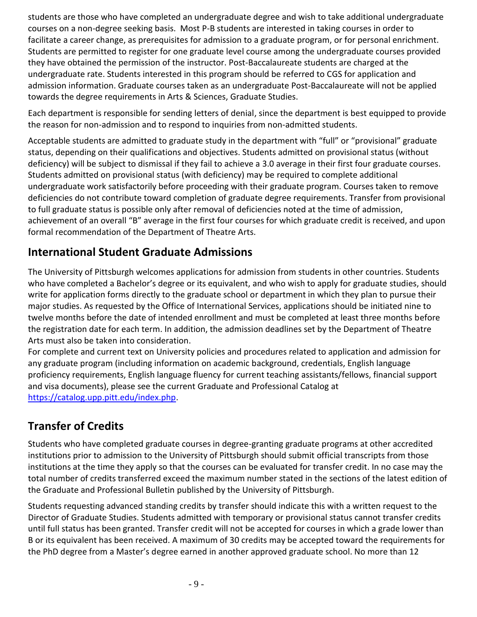students are those who have completed an undergraduate degree and wish to take additional undergraduate courses on a non-degree seeking basis. Most P-B students are interested in taking courses in order to facilitate a career change, as prerequisites for admission to a graduate program, or for personal enrichment. Students are permitted to register for one graduate level course among the undergraduate courses provided they have obtained the permission of the instructor. Post-Baccalaureate students are charged at the undergraduate rate. Students interested in this program should be referred to CGS for application and admission information. Graduate courses taken as an undergraduate Post-Baccalaureate will not be applied towards the degree requirements in Arts & Sciences, Graduate Studies.

Each department is responsible for sending letters of denial, since the department is best equipped to provide the reason for non-admission and to respond to inquiries from non-admitted students.

Acceptable students are admitted to graduate study in the department with "full" or "provisional" graduate status, depending on their qualifications and objectives. Students admitted on provisional status (without deficiency) will be subject to dismissal if they fail to achieve a 3.0 average in their first four graduate courses. Students admitted on provisional status (with deficiency) may be required to complete additional undergraduate work satisfactorily before proceeding with their graduate program. Courses taken to remove deficiencies do not contribute toward completion of graduate degree requirements. Transfer from provisional to full graduate status is possible only after removal of deficiencies noted at the time of admission, achievement of an overall "B" average in the first four courses for which graduate credit is received, and upon formal recommendation of the Department of Theatre Arts.

## <span id="page-8-0"></span>**International Student Graduate Admissions**

The University of Pittsburgh welcomes applications for admission from students in other countries. Students who have completed a Bachelor's degree or its equivalent, and who wish to apply for graduate studies, should write for application forms directly to the graduate school or department in which they plan to pursue their major studies. As requested by the Office of International Services, applications should be initiated nine to twelve months before the date of intended enrollment and must be completed at least three months before the registration date for each term. In addition, the admission deadlines set by the Department of Theatre Arts must also be taken into consideration.

For complete and current text on University policies and procedures related to application and admission for any graduate program (including information on academic background, credentials, English language proficiency requirements, English language fluency for current teaching assistants/fellows, financial support and visa documents), please see the current Graduate and Professional Catalog at [https://catalog.upp.pitt.edu/index.php.](https://catalog.upp.pitt.edu/index.php)

## <span id="page-8-1"></span>**Transfer of Credits**

Students who have completed graduate courses in degree-granting graduate programs at other accredited institutions prior to admission to the University of Pittsburgh should submit official transcripts from those institutions at the time they apply so that the courses can be evaluated for transfer credit. In no case may the total number of credits transferred exceed the maximum number stated in the sections of the latest edition of the Graduate and Professional Bulletin published by the University of Pittsburgh.

Students requesting advanced standing credits by transfer should indicate this with a written request to the Director of Graduate Studies. Students admitted with temporary or provisional status cannot transfer credits until full status has been granted. Transfer credit will not be accepted for courses in which a grade lower than B or its equivalent has been received. A maximum of 30 credits may be accepted toward the requirements for the PhD degree from a Master's degree earned in another approved graduate school. No more than 12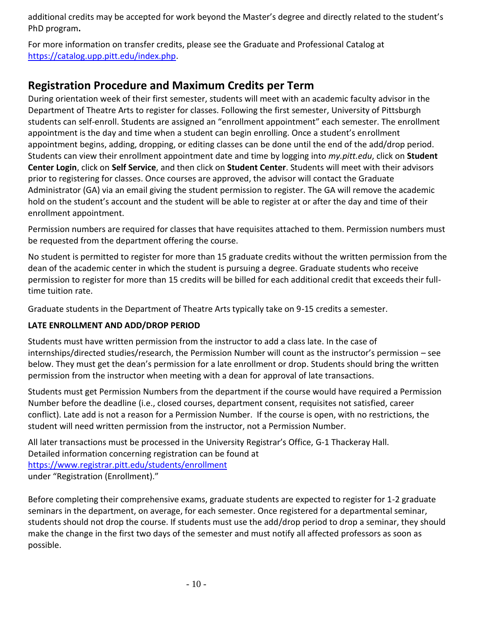additional credits may be accepted for work beyond the Master's degree and directly related to the student's PhD program**.** 

For more information on transfer credits, please see the Graduate and Professional Catalog at [https://catalog.upp.pitt.edu/index.php.](https://catalog.upp.pitt.edu/index.php)

## <span id="page-9-0"></span>**Registration Procedure and Maximum Credits per Term**

During orientation week of their first semester, students will meet with an academic faculty advisor in the Department of Theatre Arts to register for classes. Following the first semester, University of Pittsburgh students can self-enroll. Students are assigned an "enrollment appointment" each semester. The enrollment appointment is the day and time when a student can begin enrolling. Once a student's enrollment appointment begins, adding, dropping, or editing classes can be done until the end of the add/drop period. Students can view their enrollment appointment date and time by logging into *my.pitt.edu*, click on **Student Center Login**, click on **Self Service**, and then click on **Student Center**. Students will meet with their advisors prior to registering for classes. Once courses are approved, the advisor will contact the Graduate Administrator (GA) via an email giving the student permission to register. The GA will remove the academic hold on the student's account and the student will be able to register at or after the day and time of their enrollment appointment.

Permission numbers are required for classes that have requisites attached to them. Permission numbers must be requested from the department offering the course.

No student is permitted to register for more than 15 graduate credits without the written permission from the dean of the academic center in which the student is pursuing a degree. Graduate students who receive permission to register for more than 15 credits will be billed for each additional credit that exceeds their fulltime tuition rate.

Graduate students in the Department of Theatre Arts typically take on 9-15 credits a semester.

#### <span id="page-9-1"></span>**LATE ENROLLMENT AND ADD/DROP PERIOD**

Students must have written permission from the instructor to add a class late. In the case of internships/directed studies/research, the Permission Number will count as the instructor's permission – see below. They must get the dean's permission for a late enrollment or drop. Students should bring the written permission from the instructor when meeting with a dean for approval of late transactions.

Students must get Permission Numbers from the department if the course would have required a Permission Number before the deadline (i.e., closed courses, department consent, requisites not satisfied, career conflict). Late add is not a reason for a Permission Number. If the course is open, with no restrictions, the student will need written permission from the instructor, not a Permission Number.

All later transactions must be processed in the University Registrar's Office, G-1 Thackeray Hall. Detailed information concerning registration can be found at <https://www.registrar.pitt.edu/students/enrollment> under "Registration (Enrollment)."

Before completing their comprehensive exams, graduate students are expected to register for 1-2 graduate seminars in the department, on average, for each semester. Once registered for a departmental seminar, students should not drop the course. If students must use the add/drop period to drop a seminar, they should make the change in the first two days of the semester and must notify all affected professors as soon as possible.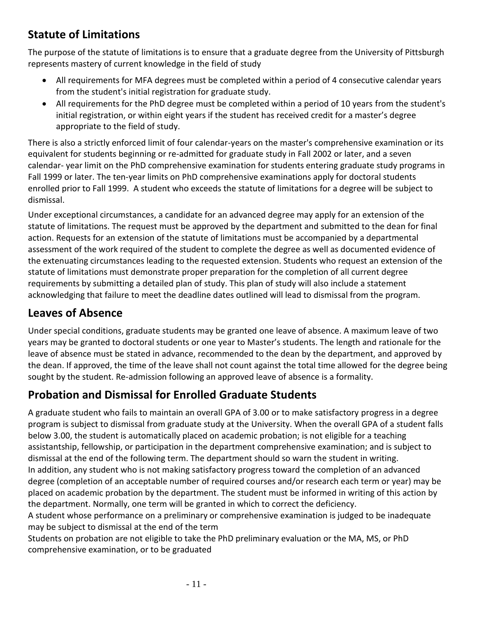## <span id="page-10-0"></span>**Statute of Limitations**

The purpose of the statute of limitations is to ensure that a graduate degree from the University of Pittsburgh represents mastery of current knowledge in the field of study

- All requirements for MFA degrees must be completed within a period of 4 consecutive calendar years from the student's initial registration for graduate study.
- All requirements for the PhD degree must be completed within a period of 10 years from the student's initial registration, or within eight years if the student has received credit for a master's degree appropriate to the field of study.

There is also a strictly enforced limit of four calendar-years on the master's comprehensive examination or its equivalent for students beginning or re-admitted for graduate study in Fall 2002 or later, and a seven calendar- year limit on the PhD comprehensive examination for students entering graduate study programs in Fall 1999 or later. The ten-year limits on PhD comprehensive examinations apply for doctoral students enrolled prior to Fall 1999. A student who exceeds the statute of limitations for a degree will be subject to dismissal.

Under exceptional circumstances, a candidate for an advanced degree may apply for an extension of the statute of limitations. The request must be approved by the department and submitted to the dean for final action. Requests for an extension of the statute of limitations must be accompanied by a departmental assessment of the work required of the student to complete the degree as well as documented evidence of the extenuating circumstances leading to the requested extension. Students who request an extension of the statute of limitations must demonstrate proper preparation for the completion of all current degree requirements by submitting a detailed plan of study. This plan of study will also include a statement acknowledging that failure to meet the deadline dates outlined will lead to dismissal from the program.

## <span id="page-10-1"></span>**Leaves of Absence**

Under special conditions, graduate students may be granted one leave of absence. A maximum leave of two years may be granted to doctoral students or one year to Master's students. The length and rationale for the leave of absence must be stated in advance, recommended to the dean by the department, and approved by the dean. If approved, the time of the leave shall not count against the total time allowed for the degree being sought by the student. Re-admission following an approved leave of absence is a formality.

## <span id="page-10-2"></span>**Probation and Dismissal for Enrolled Graduate Students**

A graduate student who fails to maintain an overall GPA of 3.00 or to make satisfactory progress in a degree program is subject to dismissal from graduate study at the University. When the overall GPA of a student falls below 3.00, the student is automatically placed on academic probation; is not eligible for a teaching assistantship, fellowship, or participation in the department comprehensive examination; and is subject to dismissal at the end of the following term. The department should so warn the student in writing. In addition, any student who is not making satisfactory progress toward the completion of an advanced degree (completion of an acceptable number of required courses and/or research each term or year) may be placed on academic probation by the department. The student must be informed in writing of this action by the department. Normally, one term will be granted in which to correct the deficiency.

A student whose performance on a preliminary or comprehensive examination is judged to be inadequate may be subject to dismissal at the end of the term

<span id="page-10-3"></span>Students on probation are not eligible to take the PhD preliminary evaluation or the MA, MS, or PhD comprehensive examination, or to be graduated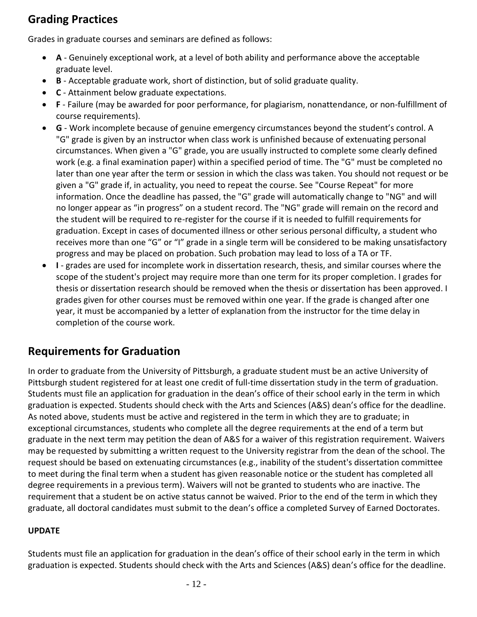## **Grading Practices**

Grades in graduate courses and seminars are defined as follows:

- **A** Genuinely exceptional work, at a level of both ability and performance above the acceptable graduate level.
- **B** Acceptable graduate work, short of distinction, but of solid graduate quality.
- **C** Attainment below graduate expectations.
- **F** Failure (may be awarded for poor performance, for plagiarism, nonattendance, or non-fulfillment of course requirements).
- **G** Work incomplete because of genuine emergency circumstances beyond the student's control. A "G" grade is given by an instructor when class work is unfinished because of extenuating personal circumstances. When given a "G" grade, you are usually instructed to complete some clearly defined work (e.g. a final examination paper) within a specified period of time. The "G" must be completed no later than one year after the term or session in which the class was taken. You should not request or be given a "G" grade if, in actuality, you need to repeat the course. See "Course Repeat" for more information. Once the deadline has passed, the "G" grade will automatically change to "NG" and will no longer appear as "in progress" on a student record. The "NG" grade will remain on the record and the student will be required to re-register for the course if it is needed to fulfill requirements for graduation. Except in cases of documented illness or other serious personal difficulty, a student who receives more than one "G" or "I" grade in a single term will be considered to be making unsatisfactory progress and may be placed on probation. Such probation may lead to loss of a TA or TF.
- **I** grades are used for incomplete work in dissertation research, thesis, and similar courses where the scope of the student's project may require more than one term for its proper completion. I grades for thesis or dissertation research should be removed when the thesis or dissertation has been approved. I grades given for other courses must be removed within one year. If the grade is changed after one year, it must be accompanied by a letter of explanation from the instructor for the time delay in completion of the course work.

## <span id="page-11-0"></span>**Requirements for Graduation**

In order to graduate from the University of Pittsburgh, a graduate student must be an active University of Pittsburgh student registered for at least one credit of full-time dissertation study in the term of graduation. Students must file an application for graduation in the dean's office of their school early in the term in which graduation is expected. Students should check with the Arts and Sciences (A&S) dean's office for the deadline. As noted above, students must be active and registered in the term in which they are to graduate; in exceptional circumstances, students who complete all the degree requirements at the end of a term but graduate in the next term may petition the dean of A&S for a waiver of this registration requirement. Waivers may be requested by submitting a written request to the University registrar from the dean of the school. The request should be based on extenuating circumstances (e.g., inability of the student's dissertation committee to meet during the final term when a student has given reasonable notice or the student has completed all degree requirements in a previous term). Waivers will not be granted to students who are inactive. The requirement that a student be on active status cannot be waived. Prior to the end of the term in which they graduate, all doctoral candidates must submit to the dean's office a completed Survey of Earned Doctorates.

#### **UPDATE**

Students must file an application for graduation in the dean's office of their school early in the term in which graduation is expected. Students should check with the Arts and Sciences (A&S) dean's office for the deadline.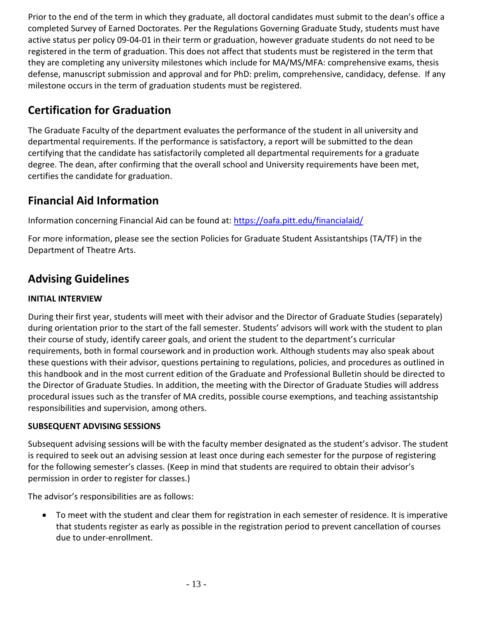Prior to the end of the term in which they graduate, all doctoral candidates must submit to the dean's office a completed Survey of Earned Doctorates. Per the Regulations Governing Graduate Study, students must have active status per policy 09-04-01 in their term or graduation, however graduate students do not need to be registered in the term of graduation. This does not affect that students must be registered in the term that they are completing any university milestones which include for MA/MS/MFA: comprehensive exams, thesis defense, manuscript submission and approval and for PhD: prelim, comprehensive, candidacy, defense. If any milestone occurs in the term of graduation students must be registered.

## <span id="page-12-0"></span>**Certification for Graduation**

The Graduate Faculty of the department evaluates the performance of the student in all university and departmental requirements. If the performance is satisfactory, a report will be submitted to the dean certifying that the candidate has satisfactorily completed all departmental requirements for a graduate degree. The dean, after confirming that the overall school and University requirements have been met, certifies the candidate for graduation.

## <span id="page-12-1"></span>**Financial Aid Information**

Information concerning Financial Aid can be found at:<https://oafa.pitt.edu/financialaid/>

For more information, please see the section Policies for Graduate Student Assistantships (TA/TF) in the Department of Theatre Arts.

## <span id="page-12-2"></span>**Advising Guidelines**

### <span id="page-12-3"></span>**INITIAL INTERVIEW**

During their first year, students will meet with their advisor and the Director of Graduate Studies (separately) during orientation prior to the start of the fall semester. Students' advisors will work with the student to plan their course of study, identify career goals, and orient the student to the department's curricular requirements, both in formal coursework and in production work. Although students may also speak about these questions with their advisor, questions pertaining to regulations, policies, and procedures as outlined in this handbook and in the most current edition of the Graduate and Professional Bulletin should be directed to the Director of Graduate Studies. In addition, the meeting with the Director of Graduate Studies will address procedural issues such as the transfer of MA credits, possible course exemptions, and teaching assistantship responsibilities and supervision, among others.

#### <span id="page-12-4"></span>**SUBSEQUENT ADVISING SESSIONS**

Subsequent advising sessions will be with the faculty member designated as the student's advisor. The student is required to seek out an advising session at least once during each semester for the purpose of registering for the following semester's classes. (Keep in mind that students are required to obtain their advisor's permission in order to register for classes.)

The advisor's responsibilities are as follows:

• To meet with the student and clear them for registration in each semester of residence. It is imperative that students register as early as possible in the registration period to prevent cancellation of courses due to under-enrollment.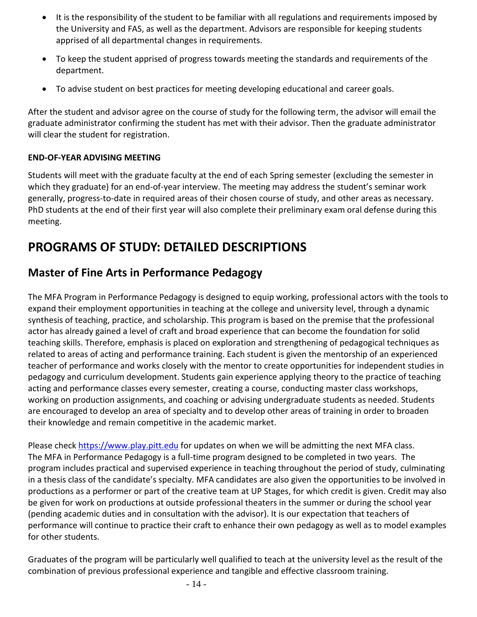- It is the responsibility of the student to be familiar with all regulations and requirements imposed by the University and FAS, as well as the department. Advisors are responsible for keeping students apprised of all departmental changes in requirements.
- To keep the student apprised of progress towards meeting the standards and requirements of the department.
- To advise student on best practices for meeting developing educational and career goals.

After the student and advisor agree on the course of study for the following term, the advisor will email the graduate administrator confirming the student has met with their advisor. Then the graduate administrator will clear the student for registration.

#### <span id="page-13-0"></span>**END-OF-YEAR ADVISING MEETING**

Students will meet with the graduate faculty at the end of each Spring semester (excluding the semester in which they graduate) for an end-of-year interview. The meeting may address the student's seminar work generally, progress-to-date in required areas of their chosen course of study, and other areas as necessary. PhD students at the end of their first year will also complete their preliminary exam oral defense during this meeting.

# <span id="page-13-1"></span>**PROGRAMS OF STUDY: DETAILED DESCRIPTIONS**

## <span id="page-13-2"></span>**Master of Fine Arts in Performance Pedagogy**

The MFA Program in Performance Pedagogy is designed to equip working, professional actors with the tools to expand their employment opportunities in teaching at the college and university level, through a dynamic synthesis of teaching, practice, and scholarship. This program is based on the premise that the professional actor has already gained a level of craft and broad experience that can become the foundation for solid teaching skills. Therefore, emphasis is placed on exploration and strengthening of pedagogical techniques as related to areas of acting and performance training. Each student is given the mentorship of an experienced teacher of performance and works closely with the mentor to create opportunities for independent studies in pedagogy and curriculum development. Students gain experience applying theory to the practice of teaching acting and performance classes every semester, creating a course, conducting master class workshops, working on production assignments, and coaching or advising undergraduate students as needed. Students are encouraged to develop an area of specialty and to develop other areas of training in order to broaden their knowledge and remain competitive in the academic market.

Please check [https://www.play.pitt.edu](https://www.play.pitt.edu/) for updates on when we will be admitting the next MFA class. The MFA in Performance Pedagogy is a full-time program designed to be completed in two years. The program includes practical and supervised experience in teaching throughout the period of study, culminating in a thesis class of the candidate's specialty. MFA candidates are also given the opportunities to be involved in productions as a performer or part of the creative team at UP Stages, for which credit is given. Credit may also be given for work on productions at outside professional theaters in the summer or during the school year (pending academic duties and in consultation with the advisor). It is our expectation that teachers of performance will continue to practice their craft to enhance their own pedagogy as well as to model examples for other students.

Graduates of the program will be particularly well qualified to teach at the university level as the result of the combination of previous professional experience and tangible and effective classroom training.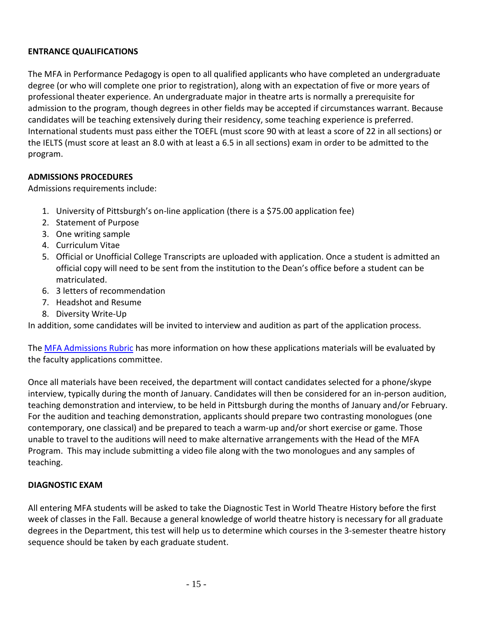#### <span id="page-14-0"></span>**ENTRANCE QUALIFICATIONS**

The MFA in Performance Pedagogy is open to all qualified applicants who have completed an undergraduate degree (or who will complete one prior to registration), along with an expectation of five or more years of professional theater experience. An undergraduate major in theatre arts is normally a prerequisite for admission to the program, though degrees in other fields may be accepted if circumstances warrant. Because candidates will be teaching extensively during their residency, some teaching experience is preferred. International students must pass either the TOEFL (must score 90 with at least a score of 22 in all sections) or the IELTS (must score at least an 8.0 with at least a 6.5 in all sections) exam in order to be admitted to the program.

#### <span id="page-14-1"></span>**ADMISSIONS PROCEDURES**

Admissions requirements include:

- 1. University of Pittsburgh's on-line application (there is a \$75.00 application fee)
- 2. Statement of Purpose
- 3. One writing sample
- 4. Curriculum Vitae
- 5. Official or Unofficial College Transcripts are uploaded with application. Once a student is admitted an official copy will need to be sent from the institution to the Dean's office before a student can be matriculated.
- 6. 3 letters of recommendation
- 7. Headshot and Resume
- 8. Diversity Write-Up

In addition, some candidates will be invited to interview and audition as part of the application process.

The MFA [Admissions Rubric](https://www.play.pitt.edu/sites/default/files/MFA%20admissions%20rubric_0.pdf) has more information on how these applications materials will be evaluated by the faculty applications committee.

Once all materials have been received, the department will contact candidates selected for a phone/skype interview, typically during the month of January. Candidates will then be considered for an in-person audition, teaching demonstration and interview, to be held in Pittsburgh during the months of January and/or February. For the audition and teaching demonstration, applicants should prepare two contrasting monologues (one contemporary, one classical) and be prepared to teach a warm-up and/or short exercise or game. Those unable to travel to the auditions will need to make alternative arrangements with the Head of the MFA Program. This may include submitting a video file along with the two monologues and any samples of teaching.

#### <span id="page-14-2"></span>**DIAGNOSTIC EXAM**

All entering MFA students will be asked to take the Diagnostic Test in World Theatre History before the first week of classes in the Fall. Because a general knowledge of world theatre history is necessary for all graduate degrees in the Department, this test will help us to determine which courses in the 3-semester theatre history sequence should be taken by each graduate student.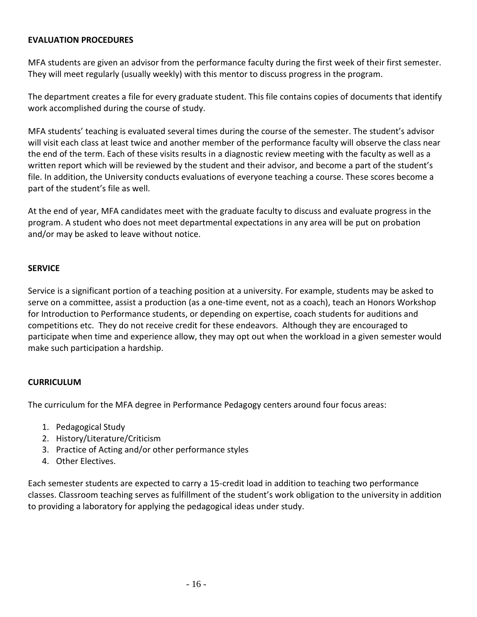#### <span id="page-15-0"></span>**EVALUATION PROCEDURES**

MFA students are given an advisor from the performance faculty during the first week of their first semester. They will meet regularly (usually weekly) with this mentor to discuss progress in the program.

The department creates a file for every graduate student. This file contains copies of documents that identify work accomplished during the course of study.

MFA students' teaching is evaluated several times during the course of the semester. The student's advisor will visit each class at least twice and another member of the performance faculty will observe the class near the end of the term. Each of these visits results in a diagnostic review meeting with the faculty as well as a written report which will be reviewed by the student and their advisor, and become a part of the student's file. In addition, the University conducts evaluations of everyone teaching a course. These scores become a part of the student's file as well.

At the end of year, MFA candidates meet with the graduate faculty to discuss and evaluate progress in the program. A student who does not meet departmental expectations in any area will be put on probation and/or may be asked to leave without notice.

#### <span id="page-15-1"></span>**SERVICE**

Service is a significant portion of a teaching position at a university. For example, students may be asked to serve on a committee, assist a production (as a one-time event, not as a coach), teach an Honors Workshop for Introduction to Performance students, or depending on expertise, coach students for auditions and competitions etc. They do not receive credit for these endeavors. Although they are encouraged to participate when time and experience allow, they may opt out when the workload in a given semester would make such participation a hardship.

#### <span id="page-15-2"></span>**CURRICULUM**

The curriculum for the MFA degree in Performance Pedagogy centers around four focus areas:

- 1. Pedagogical Study
- 2. History/Literature/Criticism
- 3. Practice of Acting and/or other performance styles
- 4. Other Electives.

Each semester students are expected to carry a 15-credit load in addition to teaching two performance classes. Classroom teaching serves as fulfillment of the student's work obligation to the university in addition to providing a laboratory for applying the pedagogical ideas under study.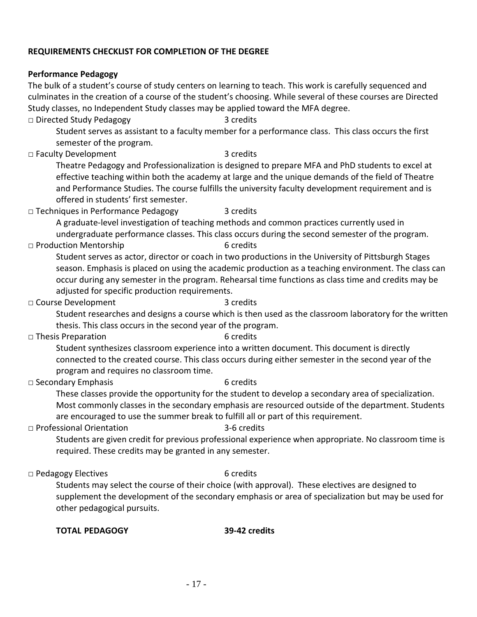#### <span id="page-16-0"></span>**REQUIREMENTS CHECKLIST FOR COMPLETION OF THE DEGREE**

#### **Performance Pedagogy**

The bulk of a student's course of study centers on learning to teach. This work is carefully sequenced and culminates in the creation of a course of the student's choosing. While several of these courses are Directed Study classes, no Independent Study classes may be applied toward the MFA degree.

**□** Directed Study Pedagogy 3 credits

Student serves as assistant to a faculty member for a performance class. This class occurs the first semester of the program.

□ Faculty Development 3 credits

Theatre Pedagogy and Professionalization is designed to prepare MFA and PhD students to excel at effective teaching within both the academy at large and the unique demands of the field of Theatre and Performance Studies. The course fulfills the university faculty development requirement and is offered in students' first semester.

**□** Techniques in Performance Pedagogy 3 credits

A graduate-level investigation of teaching methods and common practices currently used in undergraduate performance classes. This class occurs during the second semester of the program.

#### □ Production Mentorship 6 credits

Student serves as actor, director or coach in two productions in the University of Pittsburgh Stages season. Emphasis is placed on using the academic production as a teaching environment. The class can occur during any semester in the program. Rehearsal time functions as class time and credits may be adjusted for specific production requirements.

□ Course Development 3 credits

Student researches and designs a course which is then used as the classroom laboratory for the written thesis. This class occurs in the second year of the program.

□ Thesis Preparation 6 credits

Student synthesizes classroom experience into a written document. This document is directly connected to the created course. This class occurs during either semester in the second year of the program and requires no classroom time.

□ Secondary Emphasis 6 credits

These classes provide the opportunity for the student to develop a secondary area of specialization. Most commonly classes in the secondary emphasis are resourced outside of the department. Students are encouraged to use the summer break to fulfill all or part of this requirement.

#### □ Professional Orientation 3-6 credits

Students are given credit for previous professional experience when appropriate. No classroom time is required. These credits may be granted in any semester.

□ Pedagogy Electives 6 credits

Students may select the course of their choice (with approval). These electives are designed to supplement the development of the secondary emphasis or area of specialization but may be used for other pedagogical pursuits.

#### **TOTAL PEDAGOGY 39-42 credits**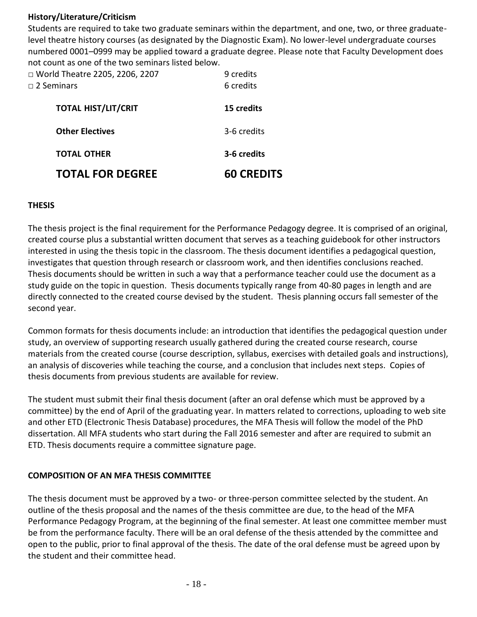#### **History/Literature/Criticism**

Students are required to take two graduate seminars within the department, and one, two, or three graduatelevel theatre history courses (as designated by the Diagnostic Exam). No lower-level undergraduate courses numbered 0001–0999 may be applied toward a graduate degree. Please note that Faculty Development does not count as one of the two seminars listed below.

| <b>TOTAL FOR DEGREE</b>                                 | <b>60 CREDITS</b>      |
|---------------------------------------------------------|------------------------|
| <b>TOTAL OTHER</b>                                      | 3-6 credits            |
| <b>Other Electives</b>                                  | 3-6 credits            |
| <b>TOTAL HIST/LIT/CRIT</b>                              | 15 credits             |
| □ World Theatre 2205, 2206, 2207<br>$\sqcap$ 2 Seminars | 9 credits<br>6 credits |

#### <span id="page-17-0"></span>**THESIS**

The thesis project is the final requirement for the Performance Pedagogy degree. It is comprised of an original, created course plus a substantial written document that serves as a teaching guidebook for other instructors interested in using the thesis topic in the classroom. The thesis document identifies a pedagogical question, investigates that question through research or classroom work, and then identifies conclusions reached. Thesis documents should be written in such a way that a performance teacher could use the document as a study guide on the topic in question. Thesis documents typically range from 40-80 pages in length and are directly connected to the created course devised by the student. Thesis planning occurs fall semester of the second year.

Common formats for thesis documents include: an introduction that identifies the pedagogical question under study, an overview of supporting research usually gathered during the created course research, course materials from the created course (course description, syllabus, exercises with detailed goals and instructions), an analysis of discoveries while teaching the course, and a conclusion that includes next steps. Copies of thesis documents from previous students are available for review.

The student must submit their final thesis document (after an oral defense which must be approved by a committee) by the end of April of the graduating year. In matters related to corrections, uploading to web site and other ETD (Electronic Thesis Database) procedures, the MFA Thesis will follow the model of the PhD dissertation. All MFA students who start during the Fall 2016 semester and after are required to submit an ETD. Thesis documents require a committee signature page.

#### **COMPOSITION OF AN MFA THESIS COMMITTEE**

The thesis document must be approved by a two- or three-person committee selected by the student. An outline of the thesis proposal and the names of the thesis committee are due, to the head of the MFA Performance Pedagogy Program, at the beginning of the final semester. At least one committee member must be from the performance faculty. There will be an oral defense of the thesis attended by the committee and open to the public, prior to final approval of the thesis. The date of the oral defense must be agreed upon by the student and their committee head.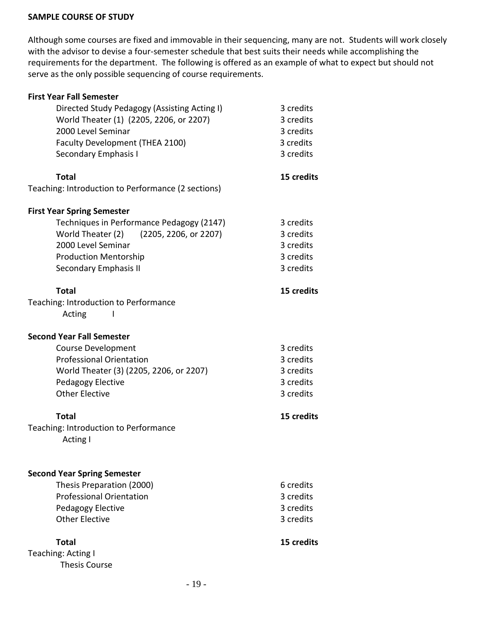#### <span id="page-18-0"></span>**SAMPLE COURSE OF STUDY**

Although some courses are fixed and immovable in their sequencing, many are not. Students will work closely with the advisor to devise a four-semester schedule that best suits their needs while accomplishing the requirements for the department. The following is offered as an example of what to expect but should not serve as the only possible sequencing of course requirements.

| <b>First Year Fall Semester</b>                    |            |
|----------------------------------------------------|------------|
| Directed Study Pedagogy (Assisting Acting I)       | 3 credits  |
| World Theater (1) (2205, 2206, or 2207)            | 3 credits  |
| 2000 Level Seminar                                 | 3 credits  |
| Faculty Development (THEA 2100)                    | 3 credits  |
| <b>Secondary Emphasis I</b>                        | 3 credits  |
|                                                    |            |
| <b>Total</b>                                       | 15 credits |
| Teaching: Introduction to Performance (2 sections) |            |
| <b>First Year Spring Semester</b>                  |            |
| Techniques in Performance Pedagogy (2147)          | 3 credits  |
| World Theater (2)<br>(2205, 2206, or 2207)         | 3 credits  |
| 2000 Level Seminar                                 | 3 credits  |
| <b>Production Mentorship</b>                       | 3 credits  |
| <b>Secondary Emphasis II</b>                       | 3 credits  |
| <b>Total</b>                                       | 15 credits |
| Teaching: Introduction to Performance              |            |
| Acting                                             |            |
| <b>Second Year Fall Semester</b>                   |            |
| <b>Course Development</b>                          | 3 credits  |
| <b>Professional Orientation</b>                    | 3 credits  |
| World Theater (3) (2205, 2206, or 2207)            | 3 credits  |
| Pedagogy Elective                                  | 3 credits  |
| <b>Other Elective</b>                              | 3 credits  |
| <b>Total</b>                                       | 15 credits |
| Teaching: Introduction to Performance              |            |
| <b>Acting I</b>                                    |            |
|                                                    |            |
| <b>Second Year Spring Semester</b>                 |            |
| Thesis Preparation (2000)                          | 6 credits  |
| <b>Professional Orientation</b>                    | 3 credits  |
| Pedagogy Elective                                  | 3 credits  |
| <b>Other Elective</b>                              | 3 credits  |
| <b>Total</b>                                       | 15 credits |
| Teaching: Acting I                                 |            |
| <b>Thesis Course</b>                               |            |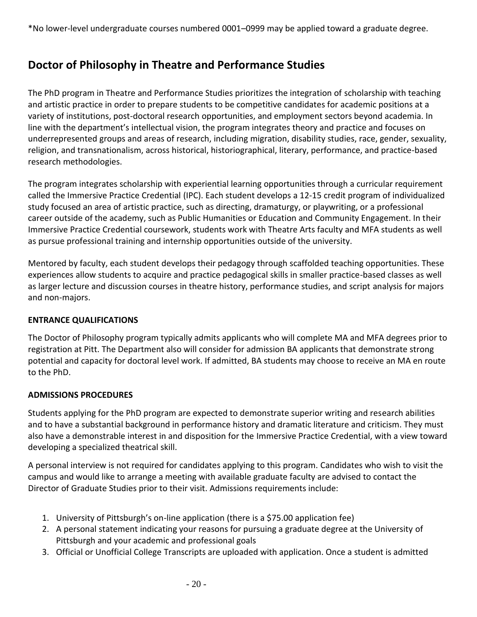## <span id="page-19-0"></span>**Doctor of Philosophy in Theatre and Performance Studies**

The PhD program in Theatre and Performance Studies prioritizes the integration of scholarship with teaching and artistic practice in order to prepare students to be competitive candidates for academic positions at a variety of institutions, post-doctoral research opportunities, and employment sectors beyond academia. In line with the department's intellectual vision, the program integrates theory and practice and focuses on underrepresented groups and areas of research, including migration, disability studies, race, gender, sexuality, religion, and transnationalism, across historical, historiographical, literary, performance, and practice-based research methodologies.

The program integrates scholarship with experiential learning opportunities through a curricular requirement called the Immersive Practice Credential (IPC). Each student develops a 12-15 credit program of individualized study focused an area of artistic practice, such as directing, dramaturgy, or playwriting, or a professional career outside of the academy, such as Public Humanities or Education and Community Engagement. In their Immersive Practice Credential coursework, students work with Theatre Arts faculty and MFA students as well as pursue professional training and internship opportunities outside of the university.

Mentored by faculty, each student develops their pedagogy through scaffolded teaching opportunities. These experiences allow students to acquire and practice pedagogical skills in smaller practice-based classes as well as larger lecture and discussion courses in theatre history, performance studies, and script analysis for majors and non-majors.

#### <span id="page-19-1"></span>**ENTRANCE QUALIFICATIONS**

The Doctor of Philosophy program typically admits applicants who will complete MA and MFA degrees prior to registration at Pitt. The Department also will consider for admission BA applicants that demonstrate strong potential and capacity for doctoral level work. If admitted, BA students may choose to receive an MA en route to the PhD.

#### <span id="page-19-2"></span>**ADMISSIONS PROCEDURES**

Students applying for the PhD program are expected to demonstrate superior writing and research abilities and to have a substantial background in performance history and dramatic literature and criticism. They must also have a demonstrable interest in and disposition for the Immersive Practice Credential, with a view toward developing a specialized theatrical skill.

A personal interview is not required for candidates applying to this program. Candidates who wish to visit the campus and would like to arrange a meeting with available graduate faculty are advised to contact the Director of Graduate Studies prior to their visit. Admissions requirements include:

- 1. University of Pittsburgh's on-line application (there is a \$75.00 application fee)
- 2. A personal statement indicating your reasons for pursuing a graduate degree at the University of Pittsburgh and your academic and professional goals
- 3. Official or Unofficial College Transcripts are uploaded with application. Once a student is admitted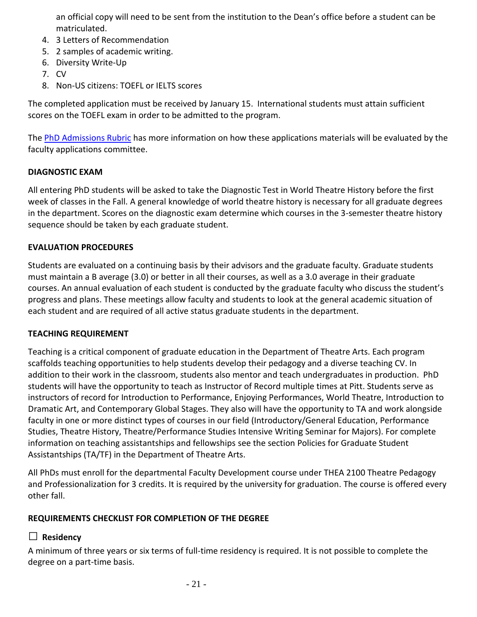an official copy will need to be sent from the institution to the Dean's office before a student can be matriculated.

- 4. 3 Letters of Recommendation
- 5. 2 samples of academic writing.
- 6. Diversity Write-Up
- 7. CV
- 8. Non-US citizens: TOEFL or IELTS scores

The completed application must be received by January 15. International students must attain sufficient scores on the TOEFL exam in order to be admitted to the program.

The [PhD Admissions Rubric](https://www.play.pitt.edu/sites/default/files/PhD%20Admissions%20Rubric.pdf) has more information on how these applications materials will be evaluated by the faculty applications committee.

#### <span id="page-20-0"></span>**DIAGNOSTIC EXAM**

All entering PhD students will be asked to take the Diagnostic Test in World Theatre History before the first week of classes in the Fall. A general knowledge of world theatre history is necessary for all graduate degrees in the department. Scores on the diagnostic exam determine which courses in the 3-semester theatre history sequence should be taken by each graduate student.

#### <span id="page-20-1"></span>**EVALUATION PROCEDURES**

Students are evaluated on a continuing basis by their advisors and the graduate faculty. Graduate students must maintain a B average (3.0) or better in all their courses, as well as a 3.0 average in their graduate courses. An annual evaluation of each student is conducted by the graduate faculty who discuss the student's progress and plans. These meetings allow faculty and students to look at the general academic situation of each student and are required of all active status graduate students in the department.

#### <span id="page-20-2"></span>**TEACHING REQUIREMENT**

Teaching is a critical component of graduate education in the Department of Theatre Arts. Each program scaffolds teaching opportunities to help students develop their pedagogy and a diverse teaching CV. In addition to their work in the classroom, students also mentor and teach undergraduates in production. PhD students will have the opportunity to teach as Instructor of Record multiple times at Pitt. Students serve as instructors of record for Introduction to Performance, Enjoying Performances, World Theatre, Introduction to Dramatic Art, and Contemporary Global Stages. They also will have the opportunity to TA and work alongside faculty in one or more distinct types of courses in our field (Introductory/General Education, Performance Studies, Theatre History, Theatre/Performance Studies Intensive Writing Seminar for Majors). For complete information on teaching assistantships and fellowships see the section Policies for Graduate Student Assistantships (TA/TF) in the Department of Theatre Arts.

<span id="page-20-3"></span>All PhDs must enroll for the departmental Faculty Development course under THEA 2100 Theatre Pedagogy and Professionalization for 3 credits. It is required by the university for graduation. The course is offered every other fall.

#### **REQUIREMENTS CHECKLIST FOR COMPLETION OF THE DEGREE**

#### **□ Residency**

A minimum of three years or six terms of full-time residency is required. It is not possible to complete the degree on a part-time basis.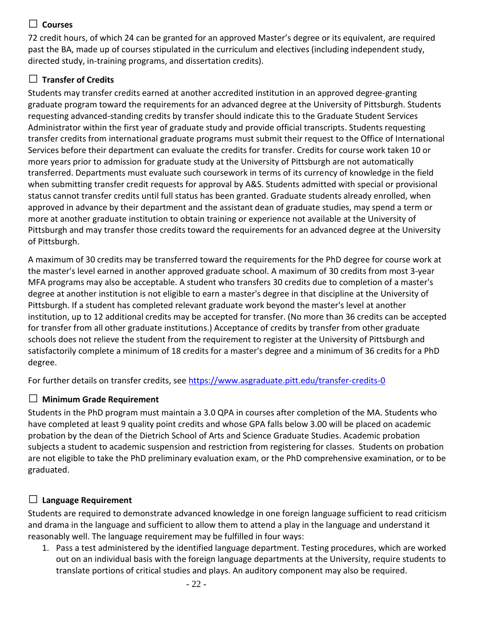### **□ Courses**

72 credit hours, of which 24 can be granted for an approved Master's degree or its equivalent, are required past the BA, made up of courses stipulated in the curriculum and electives (including independent study, directed study, in-training programs, and dissertation credits).

### **□ Transfer of Credits**

Students may transfer credits earned at another accredited institution in an approved degree-granting graduate program toward the requirements for an advanced degree at the University of Pittsburgh. Students requesting advanced-standing credits by transfer should indicate this to the Graduate Student Services Administrator within the first year of graduate study and provide official transcripts. Students requesting transfer credits from international graduate programs must submit their request to the Office of International Services before their department can evaluate the credits for transfer. Credits for course work taken 10 or more years prior to admission for graduate study at the University of Pittsburgh are not automatically transferred. Departments must evaluate such coursework in terms of its currency of knowledge in the field when submitting transfer credit requests for approval by A&S. Students admitted with special or provisional status cannot transfer credits until full status has been granted. Graduate students already enrolled, when approved in advance by their department and the assistant dean of graduate studies, may spend a term or more at another graduate institution to obtain training or experience not available at the University of Pittsburgh and may transfer those credits toward the requirements for an advanced degree at the University of Pittsburgh.

A maximum of 30 credits may be transferred toward the requirements for the PhD degree for course work at the master's level earned in another approved graduate school. A maximum of 30 credits from most 3-year MFA programs may also be acceptable. A student who transfers 30 credits due to completion of a master's degree at another institution is not eligible to earn a master's degree in that discipline at the University of Pittsburgh. If a student has completed relevant graduate work beyond the master's level at another institution, up to 12 additional credits may be accepted for transfer. (No more than 36 credits can be accepted for transfer from all other graduate institutions.) Acceptance of credits by transfer from other graduate schools does not relieve the student from the requirement to register at the University of Pittsburgh and satisfactorily complete a minimum of 18 credits for a master's degree and a minimum of 36 credits for a PhD degree.

For further details on transfer credits, see<https://www.asgraduate.pitt.edu/transfer-credits-0>

### **□ Minimum Grade Requirement**

Students in the PhD program must maintain a 3.0 QPA in courses after completion of the MA. Students who have completed at least 9 quality point credits and whose GPA falls below 3.00 will be placed on academic probation by the dean of the Dietrich School of Arts and Science Graduate Studies. Academic probation subjects a student to academic suspension and restriction from registering for classes. Students on probation are not eligible to take the PhD preliminary evaluation exam, or the PhD comprehensive examination, or to be graduated.

### **□ Language Requirement**

Students are required to demonstrate advanced knowledge in one foreign language sufficient to read criticism and drama in the language and sufficient to allow them to attend a play in the language and understand it reasonably well. The language requirement may be fulfilled in four ways:

1. Pass a test administered by the identified language department. Testing procedures, which are worked out on an individual basis with the foreign language departments at the University, require students to translate portions of critical studies and plays. An auditory component may also be required.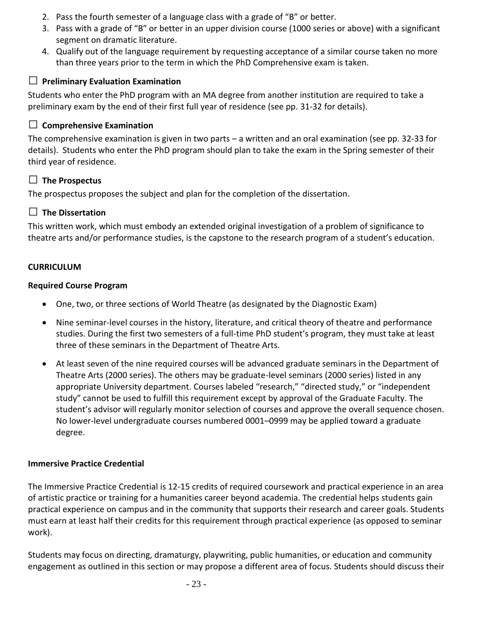- 2. Pass the fourth semester of a language class with a grade of "B" or better.
- 3. Pass with a grade of "B" or better in an upper division course (1000 series or above) with a significant segment on dramatic literature.
- 4. Qualify out of the language requirement by requesting acceptance of a similar course taken no more than three years prior to the term in which the PhD Comprehensive exam is taken.

#### **□ Preliminary Evaluation Examination**

Students who enter the PhD program with an MA degree from another institution are required to take a preliminary exam by the end of their first full year of residence (see pp. 31-32 for details).

#### **□ Comprehensive Examination**

The comprehensive examination is given in two parts – a written and an oral examination (see pp. 32-33 for details). Students who enter the PhD program should plan to take the exam in the Spring semester of their third year of residence.

#### **□ The Prospectus**

The prospectus proposes the subject and plan for the completion of the dissertation.

#### **□ The Dissertation**

This written work, which must embody an extended original investigation of a problem of significance to theatre arts and/or performance studies, is the capstone to the research program of a student's education.

#### <span id="page-22-0"></span>**CURRICULUM**

#### **Required Course Program**

- One, two, or three sections of World Theatre (as designated by the Diagnostic Exam)
- Nine seminar-level courses in the history, literature, and critical theory of theatre and performance studies. During the first two semesters of a full-time PhD student's program, they must take at least three of these seminars in the Department of Theatre Arts.
- At least seven of the nine required courses will be advanced graduate seminars in the Department of Theatre Arts (2000 series). The others may be graduate-level seminars (2000 series) listed in any appropriate University department. Courses labeled "research," "directed study," or "independent study" cannot be used to fulfill this requirement except by approval of the Graduate Faculty. The student's advisor will regularly monitor selection of courses and approve the overall sequence chosen. No lower-level undergraduate courses numbered 0001–0999 may be applied toward a graduate degree.

#### <span id="page-22-1"></span>**Immersive Practice Credential**

The Immersive Practice Credential is 12-15 credits of required coursework and practical experience in an area of artistic practice or training for a humanities career beyond academia. The credential helps students gain practical experience on campus and in the community that supports their research and career goals. Students must earn at least half their credits for this requirement through practical experience (as opposed to seminar work).

Students may focus on directing, dramaturgy, playwriting, public humanities, or education and community engagement as outlined in this section or may propose a different area of focus. Students should discuss their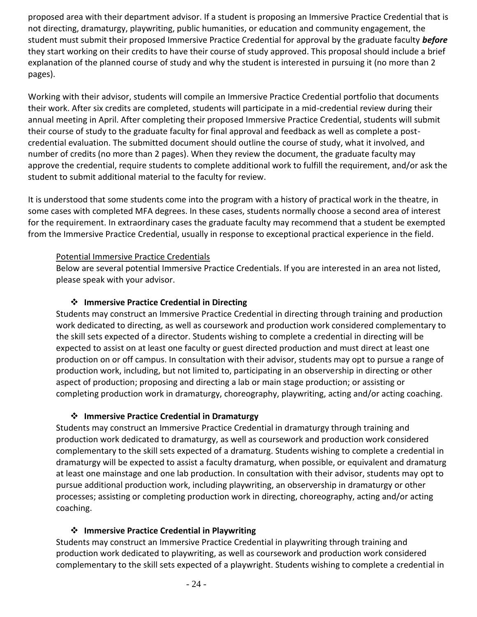proposed area with their department advisor. If a student is proposing an Immersive Practice Credential that is not directing, dramaturgy, playwriting, public humanities, or education and community engagement, the student must submit their proposed Immersive Practice Credential for approval by the graduate faculty *before* they start working on their credits to have their course of study approved. This proposal should include a brief explanation of the planned course of study and why the student is interested in pursuing it (no more than 2 pages).

Working with their advisor, students will compile an Immersive Practice Credential portfolio that documents their work. After six credits are completed, students will participate in a mid-credential review during their annual meeting in April. After completing their proposed Immersive Practice Credential, students will submit their course of study to the graduate faculty for final approval and feedback as well as complete a postcredential evaluation. The submitted document should outline the course of study, what it involved, and number of credits (no more than 2 pages). When they review the document, the graduate faculty may approve the credential, require students to complete additional work to fulfill the requirement, and/or ask the student to submit additional material to the faculty for review.

It is understood that some students come into the program with a history of practical work in the theatre, in some cases with completed MFA degrees. In these cases, students normally choose a second area of interest for the requirement. In extraordinary cases the graduate faculty may recommend that a student be exempted from the Immersive Practice Credential, usually in response to exceptional practical experience in the field.

#### Potential Immersive Practice Credentials

Below are several potential Immersive Practice Credentials. If you are interested in an area not listed, please speak with your advisor.

#### ❖ **Immersive Practice Credential in Directing**

Students may construct an Immersive Practice Credential in directing through training and production work dedicated to directing, as well as coursework and production work considered complementary to the skill sets expected of a director. Students wishing to complete a credential in directing will be expected to assist on at least one faculty or guest directed production and must direct at least one production on or off campus. In consultation with their advisor, students may opt to pursue a range of production work, including, but not limited to, participating in an observership in directing or other aspect of production; proposing and directing a lab or main stage production; or assisting or completing production work in dramaturgy, choreography, playwriting, acting and/or acting coaching.

#### ❖ **Immersive Practice Credential in Dramaturgy**

Students may construct an Immersive Practice Credential in dramaturgy through training and production work dedicated to dramaturgy, as well as coursework and production work considered complementary to the skill sets expected of a dramaturg. Students wishing to complete a credential in dramaturgy will be expected to assist a faculty dramaturg, when possible, or equivalent and dramaturg at least one mainstage and one lab production. In consultation with their advisor, students may opt to pursue additional production work, including playwriting, an observership in dramaturgy or other processes; assisting or completing production work in directing, choreography, acting and/or acting coaching.

#### ❖ **Immersive Practice Credential in Playwriting**

Students may construct an Immersive Practice Credential in playwriting through training and production work dedicated to playwriting, as well as coursework and production work considered complementary to the skill sets expected of a playwright. Students wishing to complete a credential in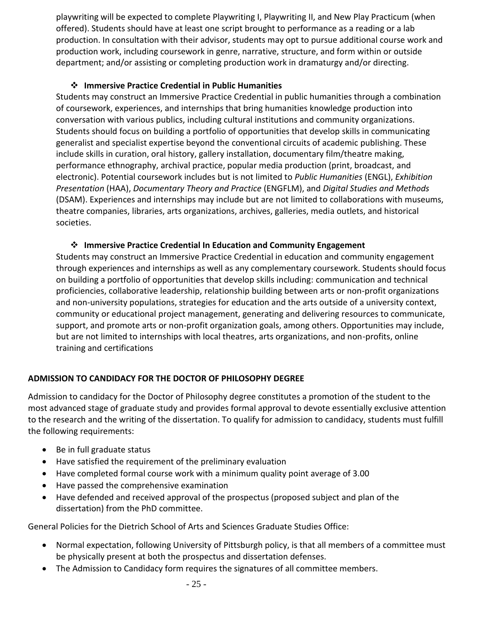playwriting will be expected to complete Playwriting I, Playwriting II, and New Play Practicum (when offered). Students should have at least one script brought to performance as a reading or a lab production. In consultation with their advisor, students may opt to pursue additional course work and production work, including coursework in genre, narrative, structure, and form within or outside department; and/or assisting or completing production work in dramaturgy and/or directing.

#### ❖ **Immersive Practice Credential in Public Humanities**

Students may construct an Immersive Practice Credential in public humanities through a combination of coursework, experiences, and internships that bring humanities knowledge production into conversation with various publics, including cultural institutions and community organizations. Students should focus on building a portfolio of opportunities that develop skills in communicating generalist and specialist expertise beyond the conventional circuits of academic publishing. These include skills in curation, oral history, gallery installation, documentary film/theatre making, performance ethnography, archival practice, popular media production (print, broadcast, and electronic). Potential coursework includes but is not limited to *Public Humanities* (ENGL), *Exhibition Presentation* (HAA), *Documentary Theory and Practice* (ENGFLM), and *Digital Studies and Methods*  (DSAM). Experiences and internships may include but are not limited to collaborations with museums, theatre companies, libraries, arts organizations, archives, galleries, media outlets, and historical societies.

#### ❖ **Immersive Practice Credential In Education and Community Engagement**

Students may construct an Immersive Practice Credential in education and community engagement through experiences and internships as well as any complementary coursework. Students should focus on building a portfolio of opportunities that develop skills including: communication and technical proficiencies, collaborative leadership, relationship building between arts or non-profit organizations and non-university populations, strategies for education and the arts outside of a university context, community or educational project management, generating and delivering resources to communicate, support, and promote arts or non-profit organization goals, among others. Opportunities may include, but are not limited to internships with local theatres, arts organizations, and non-profits, online training and certifications

#### <span id="page-24-0"></span>**ADMISSION TO CANDIDACY FOR THE DOCTOR OF PHILOSOPHY DEGREE**

Admission to candidacy for the Doctor of Philosophy degree constitutes a promotion of the student to the most advanced stage of graduate study and provides formal approval to devote essentially exclusive attention to the research and the writing of the dissertation. To qualify for admission to candidacy, students must fulfill the following requirements:

- Be in full graduate status
- Have satisfied the requirement of the preliminary evaluation
- Have completed formal course work with a minimum quality point average of 3.00
- Have passed the comprehensive examination
- Have defended and received approval of the prospectus (proposed subject and plan of the dissertation) from the PhD committee.

General Policies for the Dietrich School of Arts and Sciences Graduate Studies Office:

- Normal expectation, following University of Pittsburgh policy, is that all members of a committee must be physically present at both the prospectus and dissertation defenses.
- The Admission to Candidacy form requires the signatures of all committee members.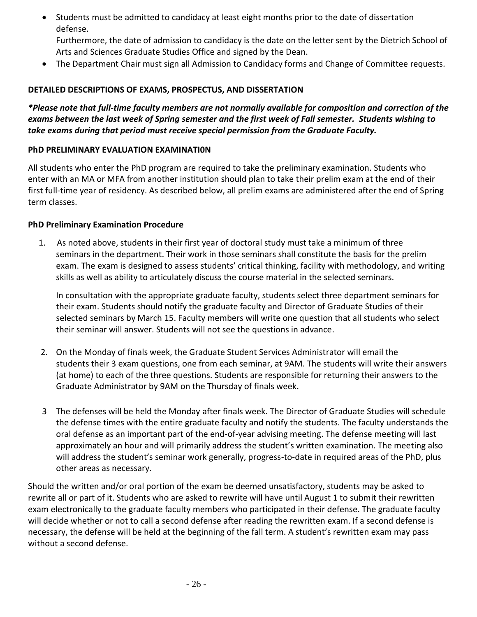• Students must be admitted to candidacy at least eight months prior to the date of dissertation defense.

<span id="page-25-1"></span>Furthermore, the date of admission to candidacy is the date on the letter sent by the Dietrich School of Arts and Sciences Graduate Studies Office and signed by the Dean.

• The Department Chair must sign all Admission to Candidacy forms and Change of Committee requests.

#### <span id="page-25-0"></span>**DETAILED DESCRIPTIONS OF EXAMS, PROSPECTUS, AND DISSERTATION**

*\*Please note that full-time faculty members are not normally available for composition and correction of the exams between the last week of Spring semester and the first week of Fall semester. Students wishing to take exams during that period must receive special permission from the Graduate Faculty.*

#### **PhD PRELIMINARY EVALUATION EXAMINATI0N**

All students who enter the PhD program are required to take the preliminary examination. Students who enter with an MA or MFA from another institution should plan to take their prelim exam at the end of their first full-time year of residency. As described below, all prelim exams are administered after the end of Spring term classes.

#### **PhD Preliminary Examination Procedure**

1. As noted above, students in their first year of doctoral study must take a minimum of three seminars in the department. Their work in those seminars shall constitute the basis for the prelim exam. The exam is designed to assess students' critical thinking, facility with methodology, and writing skills as well as ability to articulately discuss the course material in the selected seminars.

In consultation with the appropriate graduate faculty, students select three department seminars for their exam. Students should notify the graduate faculty and Director of Graduate Studies of their selected seminars by March 15. Faculty members will write one question that all students who select their seminar will answer. Students will not see the questions in advance.

- 2. On the Monday of finals week, the Graduate Student Services Administrator will email the students their 3 exam questions, one from each seminar, at 9AM. The students will write their answers (at home) to each of the three questions. Students are responsible for returning their answers to the Graduate Administrator by 9AM on the Thursday of finals week.
- 3 The defenses will be held the Monday after finals week. The Director of Graduate Studies will schedule the defense times with the entire graduate faculty and notify the students. The faculty understands the oral defense as an important part of the end-of-year advising meeting. The defense meeting will last approximately an hour and will primarily address the student's written examination. The meeting also will address the student's seminar work generally, progress-to-date in required areas of the PhD, plus other areas as necessary.

Should the written and/or oral portion of the exam be deemed unsatisfactory, students may be asked to rewrite all or part of it. Students who are asked to rewrite will have until August 1 to submit their rewritten exam electronically to the graduate faculty members who participated in their defense. The graduate faculty will decide whether or not to call a second defense after reading the rewritten exam. If a second defense is necessary, the defense will be held at the beginning of the fall term. A student's rewritten exam may pass without a second defense.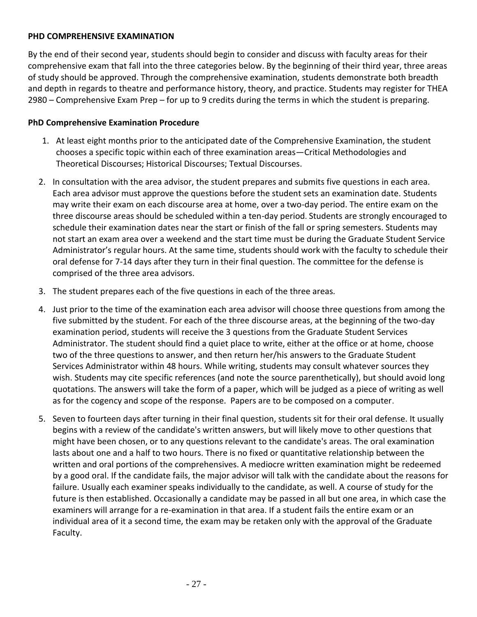#### <span id="page-26-0"></span>**PHD COMPREHENSIVE EXAMINATION**

By the end of their second year, students should begin to consider and discuss with faculty areas for their comprehensive exam that fall into the three categories below. By the beginning of their third year, three areas of study should be approved. Through the comprehensive examination, students demonstrate both breadth and depth in regards to theatre and performance history, theory, and practice. Students may register for THEA 2980 – Comprehensive Exam Prep – for up to 9 credits during the terms in which the student is preparing.

#### **PhD Comprehensive Examination Procedure**

- 1. At least eight months prior to the anticipated date of the Comprehensive Examination, the student chooses a specific topic within each of three examination areas—Critical Methodologies and Theoretical Discourses; Historical Discourses; Textual Discourses.
- 2. In consultation with the area advisor, the student prepares and submits five questions in each area. Each area advisor must approve the questions before the student sets an examination date. Students may write their exam on each discourse area at home, over a two-day period. The entire exam on the three discourse areas should be scheduled within a ten-day period. Students are strongly encouraged to schedule their examination dates near the start or finish of the fall or spring semesters. Students may not start an exam area over a weekend and the start time must be during the Graduate Student Service Administrator's regular hours. At the same time, students should work with the faculty to schedule their oral defense for 7-14 days after they turn in their final question. The committee for the defense is comprised of the three area advisors.
- 3. The student prepares each of the five questions in each of the three areas.
- 4. Just prior to the time of the examination each area advisor will choose three questions from among the five submitted by the student. For each of the three discourse areas, at the beginning of the two-day examination period, students will receive the 3 questions from the Graduate Student Services Administrator. The student should find a quiet place to write, either at the office or at home, choose two of the three questions to answer, and then return her/his answers to the Graduate Student Services Administrator within 48 hours. While writing, students may consult whatever sources they wish. Students may cite specific references (and note the source parenthetically), but should avoid long quotations. The answers will take the form of a paper, which will be judged as a piece of writing as well as for the cogency and scope of the response. Papers are to be composed on a computer.
- 5. Seven to fourteen days after turning in their final question, students sit for their oral defense. It usually begins with a review of the candidate's written answers, but will likely move to other questions that might have been chosen, or to any questions relevant to the candidate's areas. The oral examination lasts about one and a half to two hours. There is no fixed or quantitative relationship between the written and oral portions of the comprehensives. A mediocre written examination might be redeemed by a good oral. If the candidate fails, the major advisor will talk with the candidate about the reasons for failure. Usually each examiner speaks individually to the candidate, as well. A course of study for the future is then established. Occasionally a candidate may be passed in all but one area, in which case the examiners will arrange for a re-examination in that area. If a student fails the entire exam or an individual area of it a second time, the exam may be retaken only with the approval of the Graduate Faculty.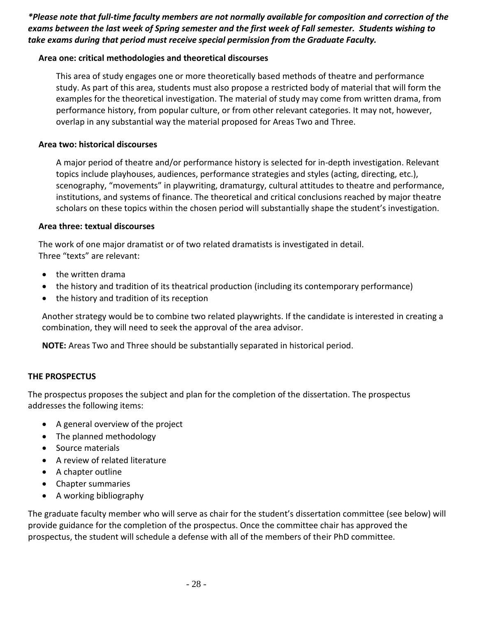*\*Please note that full-time faculty members are not normally available for composition and correction of the exams between the last week of Spring semester and the first week of Fall semester. Students wishing to take exams during that period must receive special permission from the Graduate Faculty.*

#### **Area one: critical methodologies and theoretical discourses**

This area of study engages one or more theoretically based methods of theatre and performance study. As part of this area, students must also propose a restricted body of material that will form the examples for the theoretical investigation. The material of study may come from written drama, from performance history, from popular culture, or from other relevant categories. It may not, however, overlap in any substantial way the material proposed for Areas Two and Three.

#### **Area two: historical discourses**

A major period of theatre and/or performance history is selected for in-depth investigation. Relevant topics include playhouses, audiences, performance strategies and styles (acting, directing, etc.), scenography, "movements" in playwriting, dramaturgy, cultural attitudes to theatre and performance, institutions, and systems of finance. The theoretical and critical conclusions reached by major theatre scholars on these topics within the chosen period will substantially shape the student's investigation.

#### **Area three: textual discourses**

The work of one major dramatist or of two related dramatists is investigated in detail. Three "texts" are relevant:

- the written drama
- the history and tradition of its theatrical production (including its contemporary performance)
- the history and tradition of its reception

Another strategy would be to combine two related playwrights. If the candidate is interested in creating a combination, they will need to seek the approval of the area advisor.

**NOTE:** Areas Two and Three should be substantially separated in historical period.

#### <span id="page-27-0"></span>**THE PROSPECTUS**

The prospectus proposes the subject and plan for the completion of the dissertation. The prospectus addresses the following items:

- A general overview of the project
- The planned methodology
- Source materials
- A review of related literature
- A chapter outline
- Chapter summaries
- A working bibliography

The graduate faculty member who will serve as chair for the student's dissertation committee (see below) will provide guidance for the completion of the prospectus. Once the committee chair has approved the prospectus, the student will schedule a defense with all of the members of their PhD committee.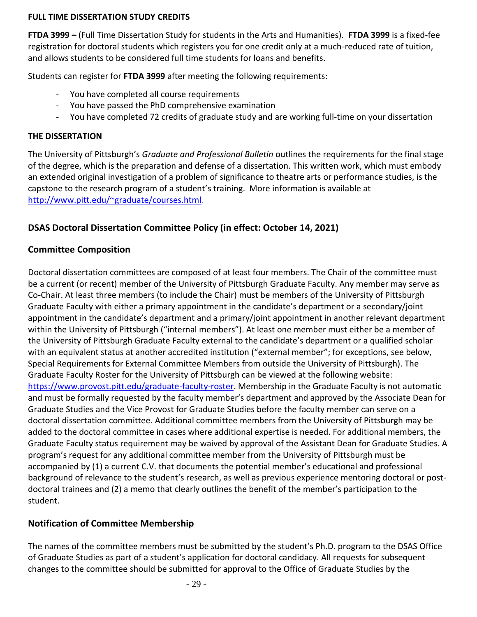#### **FULL TIME DISSERTATION STUDY CREDITS**

**FTDA 3999 –** (Full Time Dissertation Study for students in the Arts and Humanities). **FTDA 3999** is a fixed-fee registration for doctoral students which registers you for one credit only at a much-reduced rate of tuition, and allows students to be considered full time students for loans and benefits.

Students can register for **FTDA 3999** after meeting the following requirements:

- You have completed all course requirements
- <span id="page-28-0"></span>- You have passed the PhD comprehensive examination
- You have completed 72 credits of graduate study and are working full-time on your dissertation

#### **THE DISSERTATION**

The University of Pittsburgh's *Graduate and Professional Bulletin* outlines the requirements for the final stage of the degree, which is the preparation and defense of a dissertation. This written work, which must embody an extended original investigation of a problem of significance to theatre arts or performance studies, is the capstone to the research program of a student's training. More information is available at [http://www.pitt.edu/~graduate/courses.html.](http://www.pitt.edu/~graduate/courses.html)

#### <span id="page-28-1"></span>**DSAS Doctoral Dissertation Committee Policy (in effect: October 14, 2021)**

#### **Committee Composition**

Doctoral dissertation committees are composed of at least four members. The Chair of the committee must be a current (or recent) member of the University of Pittsburgh Graduate Faculty. Any member may serve as Co-Chair. At least three members (to include the Chair) must be members of the University of Pittsburgh Graduate Faculty with either a primary appointment in the candidate's department or a secondary/joint appointment in the candidate's department and a primary/joint appointment in another relevant department within the University of Pittsburgh ("internal members"). At least one member must either be a member of the University of Pittsburgh Graduate Faculty external to the candidate's department or a qualified scholar with an equivalent status at another accredited institution ("external member"; for exceptions, see below, Special Requirements for External Committee Members from outside the University of Pittsburgh). The Graduate Faculty Roster for the University of Pittsburgh can be viewed at the following website: [https://www.provost.pitt.edu/graduate-faculty-roster.](https://www.provost.pitt.edu/graduate-faculty-roster) Membership in the Graduate Faculty is not automatic and must be formally requested by the faculty member's department and approved by the Associate Dean for Graduate Studies and the Vice Provost for Graduate Studies before the faculty member can serve on a doctoral dissertation committee. Additional committee members from the University of Pittsburgh may be added to the doctoral committee in cases where additional expertise is needed. For additional members, the Graduate Faculty status requirement may be waived by approval of the Assistant Dean for Graduate Studies. A program's request for any additional committee member from the University of Pittsburgh must be accompanied by (1) a current C.V. that documents the potential member's educational and professional background of relevance to the student's research, as well as previous experience mentoring doctoral or postdoctoral trainees and (2) a memo that clearly outlines the benefit of the member's participation to the student.

#### **Notification of Committee Membership**

The names of the committee members must be submitted by the student's Ph.D. program to the DSAS Office of Graduate Studies as part of a student's application for doctoral candidacy. All requests for subsequent changes to the committee should be submitted for approval to the Office of Graduate Studies by the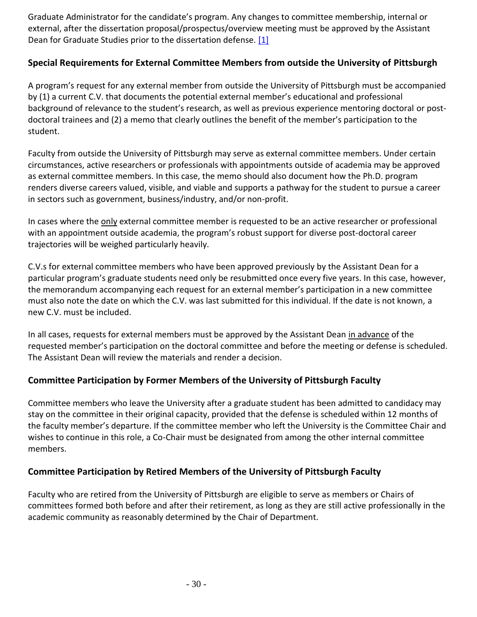Graduate Administrator for the candidate's program. Any changes to committee membership, internal or external, after the dissertation proposal/prospectus/overview meeting must be approved by the Assistant Dean for Graduate Studies prior to the dissertation defense. [\[1\]](https://www.asgraduate.pitt.edu/dsas-doctoral-dissertation-committee-policy#footnote-1)

#### **Special Requirements for External Committee Members from outside the University of Pittsburgh**

A program's request for any external member from outside the University of Pittsburgh must be accompanied by (1) a current C.V. that documents the potential external member's educational and professional background of relevance to the student's research, as well as previous experience mentoring doctoral or postdoctoral trainees and (2) a memo that clearly outlines the benefit of the member's participation to the student.

Faculty from outside the University of Pittsburgh may serve as external committee members. Under certain circumstances, active researchers or professionals with appointments outside of academia may be approved as external committee members. In this case, the memo should also document how the Ph.D. program renders diverse careers valued, visible, and viable and supports a pathway for the student to pursue a career in sectors such as government, business/industry, and/or non-profit.

In cases where the only external committee member is requested to be an active researcher or professional with an appointment outside academia, the program's robust support for diverse post-doctoral career trajectories will be weighed particularly heavily.

C.V.s for external committee members who have been approved previously by the Assistant Dean for a particular program's graduate students need only be resubmitted once every five years. In this case, however, the memorandum accompanying each request for an external member's participation in a new committee must also note the date on which the C.V. was last submitted for this individual. If the date is not known, a new C.V. must be included.

In all cases, requests for external members must be approved by the Assistant Dean in advance of the requested member's participation on the doctoral committee and before the meeting or defense is scheduled. The Assistant Dean will review the materials and render a decision.

#### **Committee Participation by Former Members of the University of Pittsburgh Faculty**

Committee members who leave the University after a graduate student has been admitted to candidacy may stay on the committee in their original capacity, provided that the defense is scheduled within 12 months of the faculty member's departure. If the committee member who left the University is the Committee Chair and wishes to continue in this role, a Co-Chair must be designated from among the other internal committee members.

#### **Committee Participation by Retired Members of the University of Pittsburgh Faculty**

Faculty who are retired from the University of Pittsburgh are eligible to serve as members or Chairs of committees formed both before and after their retirement, as long as they are still active professionally in the academic community as reasonably determined by the Chair of Department.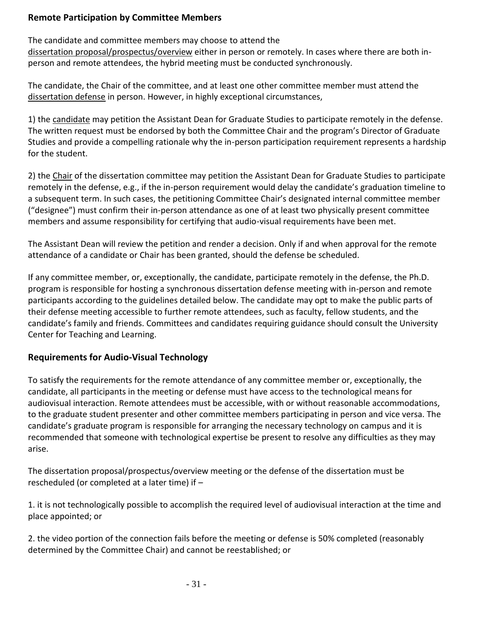#### **Remote Participation by Committee Members**

The candidate and committee members may choose to attend the

dissertation proposal/prospectus/overview either in person or remotely. In cases where there are both inperson and remote attendees, the hybrid meeting must be conducted synchronously.

The candidate, the Chair of the committee, and at least one other committee member must attend the dissertation defense in person. However, in highly exceptional circumstances,

1) the candidate may petition the Assistant Dean for Graduate Studies to participate remotely in the defense. The written request must be endorsed by both the Committee Chair and the program's Director of Graduate Studies and provide a compelling rationale why the in-person participation requirement represents a hardship for the student.

2) the Chair of the dissertation committee may petition the Assistant Dean for Graduate Studies to participate remotely in the defense, e.g., if the in-person requirement would delay the candidate's graduation timeline to a subsequent term. In such cases, the petitioning Committee Chair's designated internal committee member ("designee") must confirm their in-person attendance as one of at least two physically present committee members and assume responsibility for certifying that audio-visual requirements have been met.

The Assistant Dean will review the petition and render a decision. Only if and when approval for the remote attendance of a candidate or Chair has been granted, should the defense be scheduled.

If any committee member, or, exceptionally, the candidate, participate remotely in the defense, the Ph.D. program is responsible for hosting a synchronous dissertation defense meeting with in-person and remote participants according to the guidelines detailed below. The candidate may opt to make the public parts of their defense meeting accessible to further remote attendees, such as faculty, fellow students, and the candidate's family and friends. Committees and candidates requiring guidance should consult the University Center for Teaching and Learning.

### **Requirements for Audio-Visual Technology**

To satisfy the requirements for the remote attendance of any committee member or, exceptionally, the candidate, all participants in the meeting or defense must have access to the technological means for audiovisual interaction. Remote attendees must be accessible, with or without reasonable accommodations, to the graduate student presenter and other committee members participating in person and vice versa. The candidate's graduate program is responsible for arranging the necessary technology on campus and it is recommended that someone with technological expertise be present to resolve any difficulties as they may arise.

The dissertation proposal/prospectus/overview meeting or the defense of the dissertation must be rescheduled (or completed at a later time) if –

1. it is not technologically possible to accomplish the required level of audiovisual interaction at the time and place appointed; or

2. the video portion of the connection fails before the meeting or defense is 50% completed (reasonably determined by the Committee Chair) and cannot be reestablished; or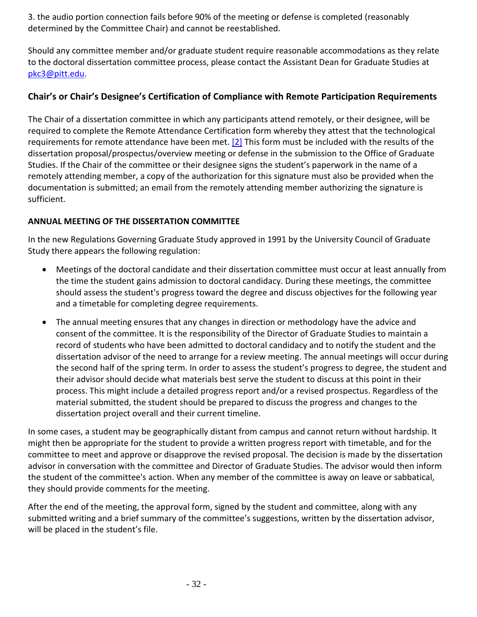3. the audio portion connection fails before 90% of the meeting or defense is completed (reasonably determined by the Committee Chair) and cannot be reestablished.

Should any committee member and/or graduate student require reasonable accommodations as they relate to the doctoral dissertation committee process, please contact the Assistant Dean for Graduate Studies at [pkc3@pitt.edu.](mailto:pkc3@pitt.edu)

#### **Chair's or Chair's Designee's Certification of Compliance with Remote Participation Requirements**

The Chair of a dissertation committee in which any participants attend remotely, or their designee, will be required to complete the Remote Attendance Certification form whereby they attest that the technological requirements for remote attendance have been met. [\[2\]](http://www.asgraduate.pitt.edu/dsas-doctoral-dissertation-committee-policy#footnote-2) This form must be included with the results of the dissertation proposal/prospectus/overview meeting or defense in the submission to the Office of Graduate Studies. If the Chair of the committee or their designee signs the student's paperwork in the name of a remotely attending member, a copy of the authorization for this signature must also be provided when the documentation is submitted; an email from the remotely attending member authorizing the signature is sufficient.

#### **ANNUAL MEETING OF THE DISSERTATION COMMITTEE**

In the new Regulations Governing Graduate Study approved in 1991 by the University Council of Graduate Study there appears the following regulation:

- Meetings of the doctoral candidate and their dissertation committee must occur at least annually from the time the student gains admission to doctoral candidacy. During these meetings, the committee should assess the student's progress toward the degree and discuss objectives for the following year and a timetable for completing degree requirements.
- The annual meeting ensures that any changes in direction or methodology have the advice and consent of the committee. It is the responsibility of the Director of Graduate Studies to maintain a record of students who have been admitted to doctoral candidacy and to notify the student and the dissertation advisor of the need to arrange for a review meeting. The annual meetings will occur during the second half of the spring term. In order to assess the student's progress to degree, the student and their advisor should decide what materials best serve the student to discuss at this point in their process. This might include a detailed progress report and/or a revised prospectus. Regardless of the material submitted, the student should be prepared to discuss the progress and changes to the dissertation project overall and their current timeline.

In some cases, a student may be geographically distant from campus and cannot return without hardship. It might then be appropriate for the student to provide a written progress report with timetable, and for the committee to meet and approve or disapprove the revised proposal. The decision is made by the dissertation advisor in conversation with the committee and Director of Graduate Studies. The advisor would then inform the student of the committee's action. When any member of the committee is away on leave or sabbatical, they should provide comments for the meeting.

After the end of the meeting, the approval form, signed by the student and committee, along with any submitted writing and a brief summary of the committee's suggestions, written by the dissertation advisor, will be placed in the student's file.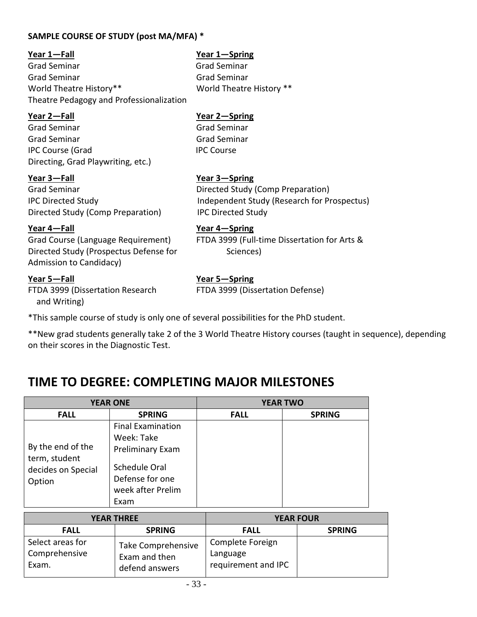#### <span id="page-32-0"></span>**SAMPLE COURSE OF STUDY (post MA/MFA) \***

#### **Year 1—Fall Year 1—Spring**

Grad Seminar Grad Seminar Grad Seminar Grad Seminar World Theatre History\*\* World Theatre History \*\* Theatre Pedagogy and Professionalization

Grad Seminar Grad Seminar Grad Seminar Grad Seminar IPC Course (Grad IPC Course Directing, Grad Playwriting, etc.)

Grad Seminar **Directed Study (Comp Preparation)** Directed Study (Comp Preparation) IPC Directed Study

Directed Study (Prospectus Defense for Sciences) Admission to Candidacy)

FTDA 3999 (Dissertation Research FTDA 3999 (Dissertation Defense) and Writing)

#### **Year 2—Fall Year 2—Spring**

#### **Year 3—Fall Year 3—Spring**

IPC Directed Study Independent Study (Research for Prospectus)

#### **Year 4—Fall Year 4—Spring**

Grad Course (Language Requirement) FTDA 3999 (Full-time Dissertation for Arts &

#### **Year 5—Fall Year 5—Spring**

\*This sample course of study is only one of several possibilities for the PhD student.

\*\*New grad students generally take 2 of the 3 World Theatre History courses (taught in sequence), depending on their scores in the Diagnostic Test.

# <span id="page-32-1"></span>**TIME TO DEGREE: COMPLETING MAJOR MILESTONES**

| <b>YEAR ONE</b>                                                    |                                                                                                                                    | <b>YEAR TWO</b> |               |
|--------------------------------------------------------------------|------------------------------------------------------------------------------------------------------------------------------------|-----------------|---------------|
| <b>FALL</b>                                                        | <b>SPRING</b>                                                                                                                      | <b>FALL</b>     | <b>SPRING</b> |
| By the end of the<br>term, student<br>decides on Special<br>Option | <b>Final Examination</b><br>Week: Take<br><b>Preliminary Exam</b><br>Schedule Oral<br>Defense for one<br>week after Prelim<br>Exam |                 |               |

| <b>YEAR THREE</b>                          |                                                       | <b>YEAR FOUR</b>                                    |               |
|--------------------------------------------|-------------------------------------------------------|-----------------------------------------------------|---------------|
| <b>FALL</b>                                | <b>SPRING</b>                                         | <b>FALL</b>                                         | <b>SPRING</b> |
| Select areas for<br>Comprehensive<br>Exam. | Take Comprehensive<br>Exam and then<br>defend answers | Complete Foreign<br>Language<br>requirement and IPC |               |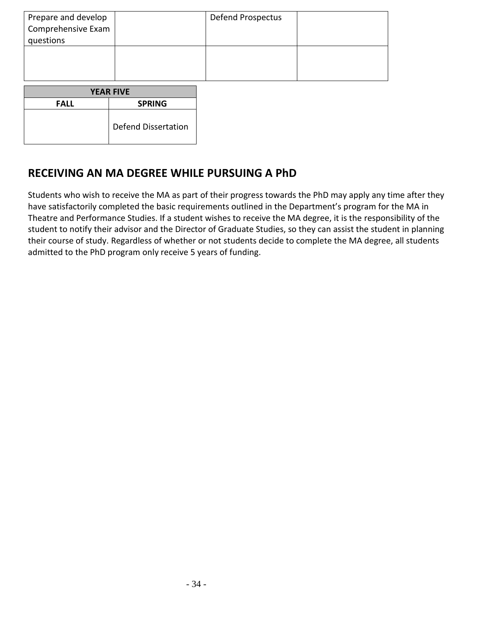| Prepare and develop<br>Comprehensive Exam<br>questions |                            | Defend Prospectus |  |
|--------------------------------------------------------|----------------------------|-------------------|--|
|                                                        |                            |                   |  |
| <b>YEAR FIVE</b>                                       |                            |                   |  |
| <b>FALL</b>                                            | <b>SPRING</b>              |                   |  |
|                                                        | <b>Defend Dissertation</b> |                   |  |

## <span id="page-33-0"></span>**RECEIVING AN MA DEGREE WHILE PURSUING A PhD**

Students who wish to receive the MA as part of their progress towards the PhD may apply any time after they have satisfactorily completed the basic requirements outlined in the Department's program for the MA in Theatre and Performance Studies. If a student wishes to receive the MA degree, it is the responsibility of the student to notify their advisor and the Director of Graduate Studies, so they can assist the student in planning their course of study. Regardless of whether or not students decide to complete the MA degree, all students admitted to the PhD program only receive 5 years of funding.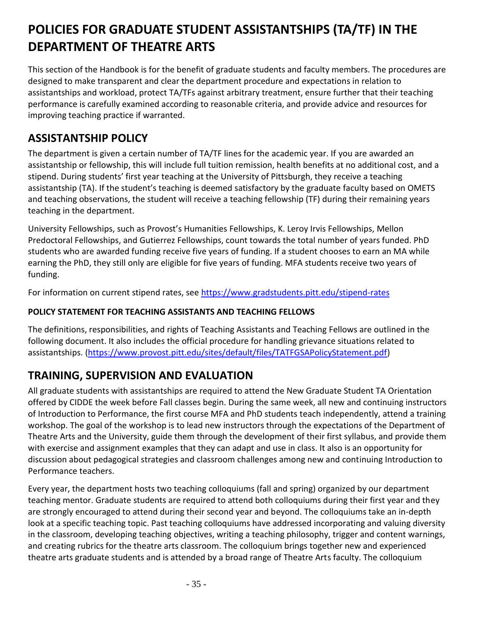# <span id="page-34-0"></span>**POLICIES FOR GRADUATE STUDENT ASSISTANTSHIPS (TA/TF) IN THE DEPARTMENT OF THEATRE ARTS**

This section of the Handbook is for the benefit of graduate students and faculty members. The procedures are designed to make transparent and clear the department procedure and expectations in relation to assistantships and workload, protect TA/TFs against arbitrary treatment, ensure further that their teaching performance is carefully examined according to reasonable criteria, and provide advice and resources for improving teaching practice if warranted.

## <span id="page-34-1"></span>**ASSISTANTSHIP POLICY**

The department is given a certain number of TA/TF lines for the academic year. If you are awarded an assistantship or fellowship, this will include full tuition remission, health benefits at no additional cost, and a stipend. During students' first year teaching at the University of Pittsburgh, they receive a teaching assistantship (TA). If the student's teaching is deemed satisfactory by the graduate faculty based on OMETS and teaching observations, the student will receive a teaching fellowship (TF) during their remaining years teaching in the department.

University Fellowships, such as Provost's Humanities Fellowships, K. Leroy Irvis Fellowships, Mellon Predoctoral Fellowships, and Gutierrez Fellowships, count towards the total number of years funded. PhD students who are awarded funding receive five years of funding. If a student chooses to earn an MA while earning the PhD, they still only are eligible for five years of funding. MFA students receive two years of funding.

For information on current stipend rates, see<https://www.gradstudents.pitt.edu/stipend-rates>

### <span id="page-34-2"></span>**POLICY STATEMENT FOR TEACHING ASSISTANTS AND TEACHING FELLOWS**

The definitions, responsibilities, and rights of Teaching Assistants and Teaching Fellows are outlined in the following document. It also includes the official procedure for handling grievance situations related to assistantships. [\(https://www.provost.pitt.edu/sites/default/files/TATFGSAPolicyStatement.pdf\)](https://www.provost.pitt.edu/sites/default/files/TATFGSAPolicyStatement.pdf)

## <span id="page-34-3"></span>**TRAINING, SUPERVISION AND EVALUATION**

All graduate students with assistantships are required to attend the New Graduate Student TA Orientation offered by CIDDE the week before Fall classes begin. During the same week, all new and continuing instructors of Introduction to Performance, the first course MFA and PhD students teach independently, attend a training workshop. The goal of the workshop is to lead new instructors through the expectations of the Department of Theatre Arts and the University, guide them through the development of their first syllabus, and provide them with exercise and assignment examples that they can adapt and use in class. It also is an opportunity for discussion about pedagogical strategies and classroom challenges among new and continuing Introduction to Performance teachers.

Every year, the department hosts two teaching colloquiums (fall and spring) organized by our department teaching mentor. Graduate students are required to attend both colloquiums during their first year and they are strongly encouraged to attend during their second year and beyond. The colloquiums take an in-depth look at a specific teaching topic. Past teaching colloquiums have addressed incorporating and valuing diversity in the classroom, developing teaching objectives, writing a teaching philosophy, trigger and content warnings, and creating rubrics for the theatre arts classroom. The colloquium brings together new and experienced theatre arts graduate students and is attended by a broad range of Theatre Arts faculty. The colloquium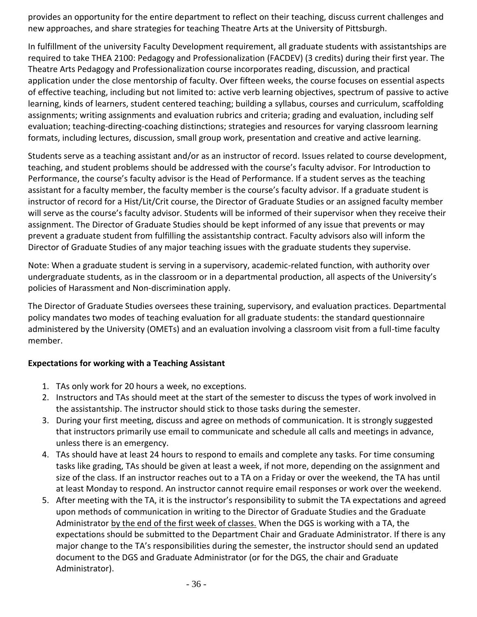provides an opportunity for the entire department to reflect on their teaching, discuss current challenges and new approaches, and share strategies for teaching Theatre Arts at the University of Pittsburgh.

In fulfillment of the university Faculty Development requirement, all graduate students with assistantships are required to take THEA 2100: Pedagogy and Professionalization (FACDEV) (3 credits) during their first year. The Theatre Arts Pedagogy and Professionalization course incorporates reading, discussion, and practical application under the close mentorship of faculty. Over fifteen weeks, the course focuses on essential aspects of effective teaching, including but not limited to: active verb learning objectives, spectrum of passive to active learning, kinds of learners, student centered teaching; building a syllabus, courses and curriculum, scaffolding assignments; writing assignments and evaluation rubrics and criteria; grading and evaluation, including self evaluation; teaching-directing-coaching distinctions; strategies and resources for varying classroom learning formats, including lectures, discussion, small group work, presentation and creative and active learning.

Students serve as a teaching assistant and/or as an instructor of record. Issues related to course development, teaching, and student problems should be addressed with the course's faculty advisor. For Introduction to Performance, the course's faculty advisor is the Head of Performance. If a student serves as the teaching assistant for a faculty member, the faculty member is the course's faculty advisor. If a graduate student is instructor of record for a Hist/Lit/Crit course, the Director of Graduate Studies or an assigned faculty member will serve as the course's faculty advisor. Students will be informed of their supervisor when they receive their assignment. The Director of Graduate Studies should be kept informed of any issue that prevents or may prevent a graduate student from fulfilling the assistantship contract. Faculty advisors also will inform the Director of Graduate Studies of any major teaching issues with the graduate students they supervise.

Note: When a graduate student is serving in a supervisory, academic-related function, with authority over undergraduate students, as in the classroom or in a departmental production, all aspects of the University's policies of Harassment and Non-discrimination apply.

The Director of Graduate Studies oversees these training, supervisory, and evaluation practices. Departmental policy mandates two modes of teaching evaluation for all graduate students: the standard questionnaire administered by the University (OMETs) and an evaluation involving a classroom visit from a full-time faculty member.

#### **Expectations for working with a Teaching Assistant**

- 1. TAs only work for 20 hours a week, no exceptions.
- 2. Instructors and TAs should meet at the start of the semester to discuss the types of work involved in the assistantship. The instructor should stick to those tasks during the semester.
- 3. During your first meeting, discuss and agree on methods of communication. It is strongly suggested that instructors primarily use email to communicate and schedule all calls and meetings in advance, unless there is an emergency.
- 4. TAs should have at least 24 hours to respond to emails and complete any tasks. For time consuming tasks like grading, TAs should be given at least a week, if not more, depending on the assignment and size of the class. If an instructor reaches out to a TA on a Friday or over the weekend, the TA has until at least Monday to respond. An instructor cannot require email responses or work over the weekend.
- 5. After meeting with the TA, it is the instructor's responsibility to submit the TA expectations and agreed upon methods of communication in writing to the Director of Graduate Studies and the Graduate Administrator by the end of the first week of classes. When the DGS is working with a TA, the expectations should be submitted to the Department Chair and Graduate Administrator. If there is any major change to the TA's responsibilities during the semester, the instructor should send an updated document to the DGS and Graduate Administrator (or for the DGS, the chair and Graduate Administrator).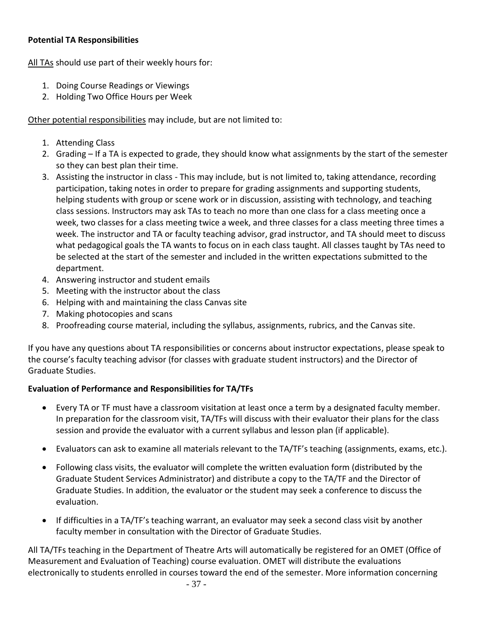#### **Potential TA Responsibilities**

All TAs should use part of their weekly hours for:

- 1. Doing Course Readings or Viewings
- 2. Holding Two Office Hours per Week

Other potential responsibilities may include, but are not limited to:

- 1. Attending Class
- 2. Grading If a TA is expected to grade, they should know what assignments by the start of the semester so they can best plan their time.
- 3. Assisting the instructor in class This may include, but is not limited to, taking attendance, recording participation, taking notes in order to prepare for grading assignments and supporting students, helping students with group or scene work or in discussion, assisting with technology, and teaching class sessions. Instructors may ask TAs to teach no more than one class for a class meeting once a week, two classes for a class meeting twice a week, and three classes for a class meeting three times a week. The instructor and TA or faculty teaching advisor, grad instructor, and TA should meet to discuss what pedagogical goals the TA wants to focus on in each class taught. All classes taught by TAs need to be selected at the start of the semester and included in the written expectations submitted to the department.
- 4. Answering instructor and student emails
- 5. Meeting with the instructor about the class
- 6. Helping with and maintaining the class Canvas site
- 7. Making photocopies and scans
- 8. Proofreading course material, including the syllabus, assignments, rubrics, and the Canvas site.

If you have any questions about TA responsibilities or concerns about instructor expectations, please speak to the course's faculty teaching advisor (for classes with graduate student instructors) and the Director of Graduate Studies.

#### **Evaluation of Performance and Responsibilities for TA/TFs**

- Every TA or TF must have a classroom visitation at least once a term by a designated faculty member. In preparation for the classroom visit, TA/TFs will discuss with their evaluator their plans for the class session and provide the evaluator with a current syllabus and lesson plan (if applicable).
- Evaluators can ask to examine all materials relevant to the TA/TF's teaching (assignments, exams, etc.).
- Following class visits, the evaluator will complete the written evaluation form (distributed by the Graduate Student Services Administrator) and distribute a copy to the TA/TF and the Director of Graduate Studies. In addition, the evaluator or the student may seek a conference to discuss the evaluation.
- If difficulties in a TA/TF's teaching warrant, an evaluator may seek a second class visit by another faculty member in consultation with the Director of Graduate Studies.

All TA/TFs teaching in the Department of Theatre Arts will automatically be registered for an OMET (Office of Measurement and Evaluation of Teaching) course evaluation. OMET will distribute the evaluations electronically to students enrolled in courses toward the end of the semester. More information concerning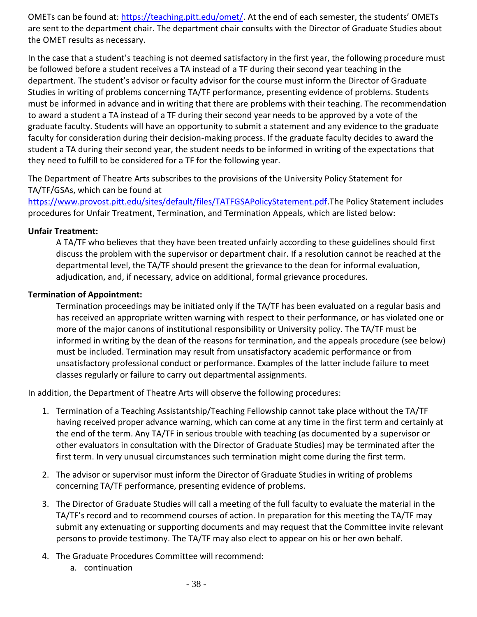OMETs can be found at: [https://teaching.pitt.edu/omet/.](https://teaching.pitt.edu/omet/) At the end of each semester, the students' OMETs are sent to the department chair. The department chair consults with the Director of Graduate Studies about the OMET results as necessary.

In the case that a student's teaching is not deemed satisfactory in the first year, the following procedure must be followed before a student receives a TA instead of a TF during their second year teaching in the department. The student's advisor or faculty advisor for the course must inform the Director of Graduate Studies in writing of problems concerning TA/TF performance, presenting evidence of problems. Students must be informed in advance and in writing that there are problems with their teaching. The recommendation to award a student a TA instead of a TF during their second year needs to be approved by a vote of the graduate faculty. Students will have an opportunity to submit a statement and any evidence to the graduate faculty for consideration during their decision-making process. If the graduate faculty decides to award the student a TA during their second year, the student needs to be informed in writing of the expectations that they need to fulfill to be considered for a TF for the following year.

The Department of Theatre Arts subscribes to the provisions of the University Policy Statement for TA/TF/GSAs, which can be found at

[https://www.provost.pitt.edu/sites/default/files/TATFGSAPolicyStatement.pdf.](https://www.provost.pitt.edu/sites/default/files/TATFGSAPolicyStatement.pdf)The Policy Statement includes procedures for Unfair Treatment, Termination, and Termination Appeals, which are listed below:

#### **Unfair Treatment:**

A TA/TF who believes that they have been treated unfairly according to these guidelines should first discuss the problem with the supervisor or department chair. If a resolution cannot be reached at the departmental level, the TA/TF should present the grievance to the dean for informal evaluation, adjudication, and, if necessary, advice on additional, formal grievance procedures.

#### **Termination of Appointment:**

Termination proceedings may be initiated only if the TA/TF has been evaluated on a regular basis and has received an appropriate written warning with respect to their performance, or has violated one or more of the major canons of institutional responsibility or University policy. The TA/TF must be informed in writing by the dean of the reasons for termination, and the appeals procedure (see below) must be included. Termination may result from unsatisfactory academic performance or from unsatisfactory professional conduct or performance. Examples of the latter include failure to meet classes regularly or failure to carry out departmental assignments.

In addition, the Department of Theatre Arts will observe the following procedures:

- 1. Termination of a Teaching Assistantship/Teaching Fellowship cannot take place without the TA/TF having received proper advance warning, which can come at any time in the first term and certainly at the end of the term. Any TA/TF in serious trouble with teaching (as documented by a supervisor or other evaluators in consultation with the Director of Graduate Studies) may be terminated after the first term. In very unusual circumstances such termination might come during the first term.
- 2. The advisor or supervisor must inform the Director of Graduate Studies in writing of problems concerning TA/TF performance, presenting evidence of problems.
- 3. The Director of Graduate Studies will call a meeting of the full faculty to evaluate the material in the TA/TF's record and to recommend courses of action. In preparation for this meeting the TA/TF may submit any extenuating or supporting documents and may request that the Committee invite relevant persons to provide testimony. The TA/TF may also elect to appear on his or her own behalf.
- 4. The Graduate Procedures Committee will recommend:
	- a. continuation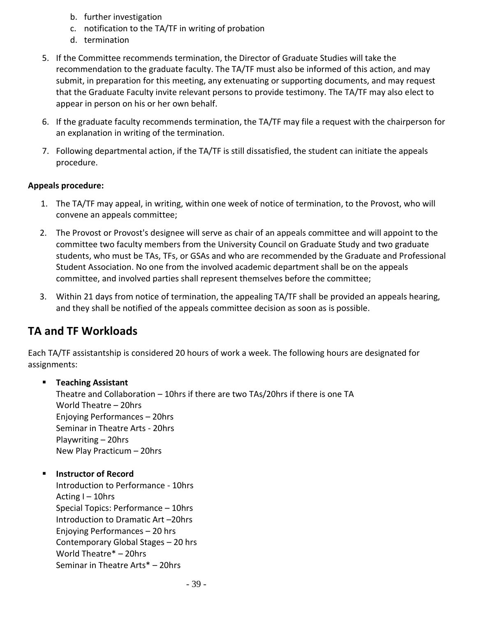- b. further investigation
- c. notification to the TA/TF in writing of probation
- d. termination
- 5. If the Committee recommends termination, the Director of Graduate Studies will take the recommendation to the graduate faculty. The TA/TF must also be informed of this action, and may submit, in preparation for this meeting, any extenuating or supporting documents, and may request that the Graduate Faculty invite relevant persons to provide testimony. The TA/TF may also elect to appear in person on his or her own behalf.
- 6. If the graduate faculty recommends termination, the TA/TF may file a request with the chairperson for an explanation in writing of the termination.
- 7. Following departmental action, if the TA/TF is still dissatisfied, the student can initiate the appeals procedure.

#### **Appeals procedure:**

- 1. The TA/TF may appeal, in writing, within one week of notice of termination, to the Provost, who will convene an appeals committee;
- 2. The Provost or Provost's designee will serve as chair of an appeals committee and will appoint to the committee two faculty members from the University Council on Graduate Study and two graduate students, who must be TAs, TFs, or GSAs and who are recommended by the Graduate and Professional Student Association. No one from the involved academic department shall be on the appeals committee, and involved parties shall represent themselves before the committee;
- 3. Within 21 days from notice of termination, the appealing TA/TF shall be provided an appeals hearing, and they shall be notified of the appeals committee decision as soon as is possible.

## <span id="page-38-0"></span>**TA and TF Workloads**

Each TA/TF assistantship is considered 20 hours of work a week. The following hours are designated for assignments:

#### ▪ **Teaching Assistant**

Theatre and Collaboration – 10hrs if there are two TAs/20hrs if there is one TA World Theatre – 20hrs Enjoying Performances – 20hrs Seminar in Theatre Arts - 20hrs Playwriting – 20hrs New Play Practicum – 20hrs

#### **Instructor of Record**

Introduction to Performance - 10hrs Acting I – 10hrs Special Topics: Performance – 10hrs Introduction to Dramatic Art –20hrs Enjoying Performances – 20 hrs Contemporary Global Stages – 20 hrs World Theatre\* – 20hrs Seminar in Theatre Arts\* – 20hrs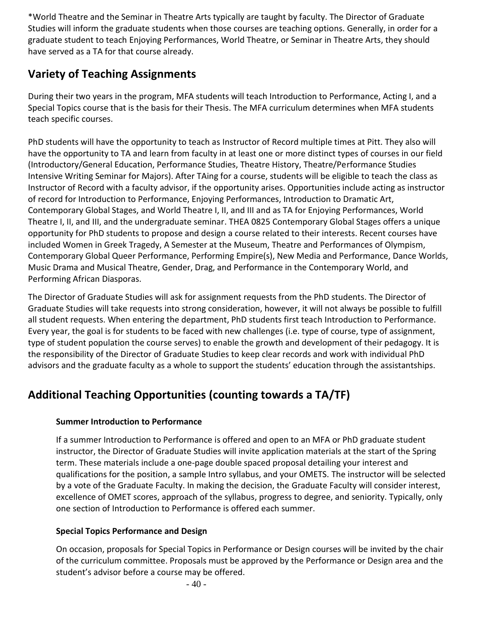\*World Theatre and the Seminar in Theatre Arts typically are taught by faculty. The Director of Graduate Studies will inform the graduate students when those courses are teaching options. Generally, in order for a graduate student to teach Enjoying Performances, World Theatre, or Seminar in Theatre Arts, they should have served as a TA for that course already.

## <span id="page-39-0"></span>**Variety of Teaching Assignments**

During their two years in the program, MFA students will teach Introduction to Performance, Acting I, and a Special Topics course that is the basis for their Thesis. The MFA curriculum determines when MFA students teach specific courses.

PhD students will have the opportunity to teach as Instructor of Record multiple times at Pitt. They also will have the opportunity to TA and learn from faculty in at least one or more distinct types of courses in our field (Introductory/General Education, Performance Studies, Theatre History, Theatre/Performance Studies Intensive Writing Seminar for Majors). After TAing for a course, students will be eligible to teach the class as Instructor of Record with a faculty advisor, if the opportunity arises. Opportunities include acting as instructor of record for Introduction to Performance, Enjoying Performances, Introduction to Dramatic Art, Contemporary Global Stages, and World Theatre I, II, and III and as TA for Enjoying Performances, World Theatre I, II, and III, and the undergraduate seminar. THEA 0825 Contemporary Global Stages offers a unique opportunity for PhD students to propose and design a course related to their interests. Recent courses have included Women in Greek Tragedy, A Semester at the Museum, Theatre and Performances of Olympism, Contemporary Global Queer Performance, Performing Empire(s), New Media and Performance, Dance Worlds, Music Drama and Musical Theatre, Gender, Drag, and Performance in the Contemporary World, and Performing African Diasporas.

The Director of Graduate Studies will ask for assignment requests from the PhD students. The Director of Graduate Studies will take requests into strong consideration, however, it will not always be possible to fulfill all student requests. When entering the department, PhD students first teach Introduction to Performance. Every year, the goal is for students to be faced with new challenges (i.e. type of course, type of assignment, type of student population the course serves) to enable the growth and development of their pedagogy. It is the responsibility of the Director of Graduate Studies to keep clear records and work with individual PhD advisors and the graduate faculty as a whole to support the students' education through the assistantships.

## <span id="page-39-1"></span>**Additional Teaching Opportunities (counting towards a TA/TF)**

#### **Summer Introduction to Performance**

If a summer Introduction to Performance is offered and open to an MFA or PhD graduate student instructor, the Director of Graduate Studies will invite application materials at the start of the Spring term. These materials include a one-page double spaced proposal detailing your interest and qualifications for the position, a sample Intro syllabus, and your OMETS. The instructor will be selected by a vote of the Graduate Faculty. In making the decision, the Graduate Faculty will consider interest, excellence of OMET scores, approach of the syllabus, progress to degree, and seniority. Typically, only one section of Introduction to Performance is offered each summer.

#### **Special Topics Performance and Design**

On occasion, proposals for Special Topics in Performance or Design courses will be invited by the chair of the curriculum committee. Proposals must be approved by the Performance or Design area and the student's advisor before a course may be offered.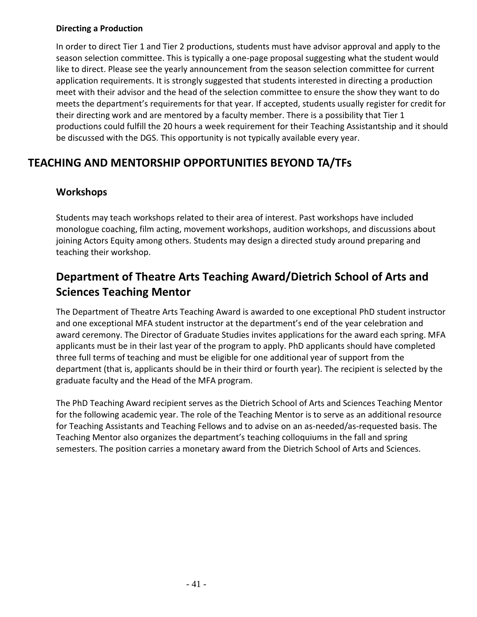#### **Directing a Production**

In order to direct Tier 1 and Tier 2 productions, students must have advisor approval and apply to the season selection committee. This is typically a one-page proposal suggesting what the student would like to direct. Please see the yearly announcement from the season selection committee for current application requirements. It is strongly suggested that students interested in directing a production meet with their advisor and the head of the selection committee to ensure the show they want to do meets the department's requirements for that year. If accepted, students usually register for credit for their directing work and are mentored by a faculty member. There is a possibility that Tier 1 productions could fulfill the 20 hours a week requirement for their Teaching Assistantship and it should be discussed with the DGS. This opportunity is not typically available every year.

## **TEACHING AND MENTORSHIP OPPORTUNITIES BEYOND TA/TFs**

### **Workshops**

Students may teach workshops related to their area of interest. Past workshops have included monologue coaching, film acting, movement workshops, audition workshops, and discussions about joining Actors Equity among others. Students may design a directed study around preparing and teaching their workshop.

## **Department of Theatre Arts Teaching Award/Dietrich School of Arts and Sciences Teaching Mentor**

The Department of Theatre Arts Teaching Award is awarded to one exceptional PhD student instructor and one exceptional MFA student instructor at the department's end of the year celebration and award ceremony. The Director of Graduate Studies invites applications for the award each spring. MFA applicants must be in their last year of the program to apply. PhD applicants should have completed three full terms of teaching and must be eligible for one additional year of support from the department (that is, applicants should be in their third or fourth year). The recipient is selected by the graduate faculty and the Head of the MFA program.

<span id="page-40-0"></span>The PhD Teaching Award recipient serves as the Dietrich School of Arts and Sciences Teaching Mentor for the following academic year. The role of the Teaching Mentor is to serve as an additional resource for Teaching Assistants and Teaching Fellows and to advise on an as-needed/as-requested basis. The Teaching Mentor also organizes the department's teaching colloquiums in the fall and spring semesters. The position carries a monetary award from the Dietrich School of Arts and Sciences.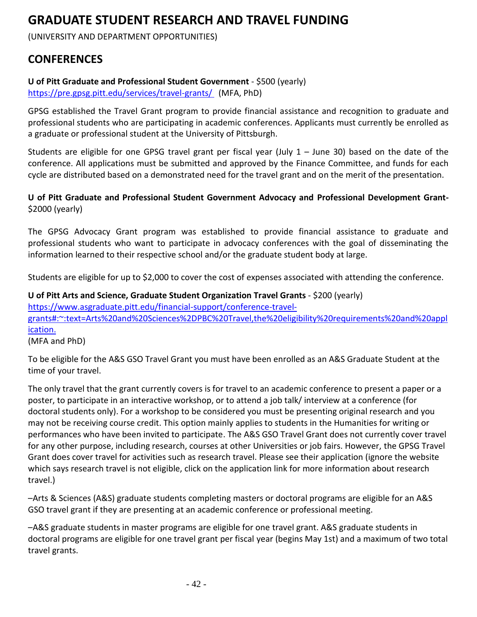# **GRADUATE STUDENT RESEARCH AND TRAVEL FUNDING**

(UNIVERSITY AND DEPARTMENT OPPORTUNITIES)

## <span id="page-41-0"></span>**CONFERENCES**

**U of Pitt Graduate and Professional Student Government** - \$500 (yearly)

<https://pre.gpsg.pitt.edu/services/travel-grants/> (MFA, PhD)

GPSG established the Travel Grant program to provide financial assistance and recognition to graduate and professional students who are participating in academic conferences. Applicants must currently be enrolled as a graduate or professional student at the University of Pittsburgh.

Students are eligible for one GPSG travel grant per fiscal year (July 1 – June 30) based on the date of the conference. All applications must be submitted and approved by the Finance Committee, and funds for each cycle are distributed based on a demonstrated need for the travel grant and on the merit of the presentation.

#### **U of Pitt Graduate and Professional Student Government Advocacy and Professional Development Grant-** \$2000 (yearly)

The GPSG Advocacy Grant program was established to provide financial assistance to graduate and professional students who want to participate in advocacy conferences with the goal of disseminating the information learned to their respective school and/or the graduate student body at large.

Students are eligible for up to \$2,000 to cover the cost of expenses associated with attending the conference.

**U** of Pitt Arts and Science, Graduate Student Organization Travel Grants - \$200 (yearly) [https://www.asgraduate.pitt.edu/financial-support/conference-travel](https://www.asgraduate.pitt.edu/financial-support/conference-travel-grants#:~:text=Arts%20and%20Sciences%2DPBC%20Travel,the%20eligibility%20requirements%20and%20application.)[grants#:~:text=Arts%20and%20Sciences%2DPBC%20Travel,the%20eligibility%20requirements%20and%20appl](https://www.asgraduate.pitt.edu/financial-support/conference-travel-grants#:~:text=Arts%20and%20Sciences%2DPBC%20Travel,the%20eligibility%20requirements%20and%20application.) [ication.](https://www.asgraduate.pitt.edu/financial-support/conference-travel-grants#:~:text=Arts%20and%20Sciences%2DPBC%20Travel,the%20eligibility%20requirements%20and%20application.)

(MFA and PhD)

To be eligible for the A&S GSO Travel Grant you must have been enrolled as an A&S Graduate Student at the time of your travel.

The only travel that the grant currently covers is for travel to an academic conference to present a paper or a poster, to participate in an interactive workshop, or to attend a job talk/ interview at a conference (for doctoral students only). For a workshop to be considered you must be presenting original research and you may not be receiving course credit. This option mainly applies to students in the Humanities for writing or performances who have been invited to participate. The A&S GSO Travel Grant does not currently cover travel for any other purpose, including research, courses at other Universities or job fairs. However, the GPSG Travel Grant does cover travel for activities such as research travel. Please see their application (ignore the website which says research travel is not eligible, click on the application link for more information about research travel.)

–Arts & Sciences (A&S) graduate students completing masters or doctoral programs are eligible for an A&S GSO travel grant if they are presenting at an academic conference or professional meeting.

–A&S graduate students in master programs are eligible for one travel grant. A&S graduate students in doctoral programs are eligible for one travel grant per fiscal year (begins May 1st) and a maximum of two total travel grants.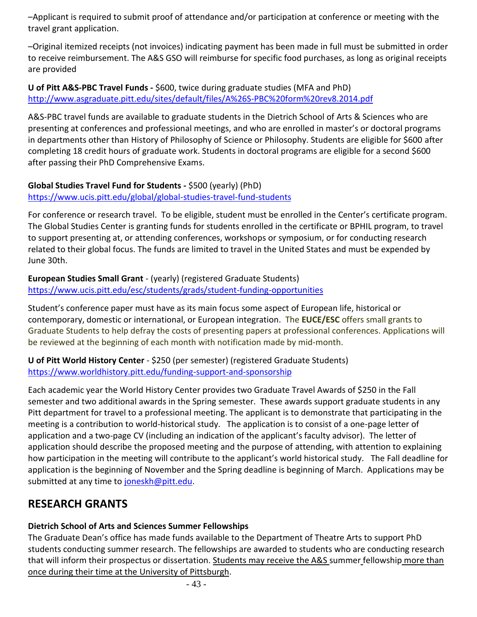–Applicant is required to submit proof of attendance and/or participation at conference or meeting with the travel grant application.

–Original itemized receipts (not invoices) indicating payment has been made in full must be submitted in order to receive reimbursement. The A&S GSO will reimburse for specific food purchases, as long as original receipts are provided

#### **U of Pitt A&S-PBC Travel Funds -** \$600, twice during graduate studies (MFA and PhD) <http://www.asgraduate.pitt.edu/sites/default/files/A%26S-PBC%20form%20rev8.2014.pdf>

A&S-PBC travel funds are available to graduate students in the Dietrich School of Arts & Sciences who are presenting at conferences and professional meetings, and who are enrolled in master's or doctoral programs in departments other than History of Philosophy of Science or Philosophy. Students are eligible for \$600 after completing 18 credit hours of graduate work. Students in doctoral programs are eligible for a second \$600 after passing their PhD Comprehensive Exams.

#### **Global Studies Travel Fund for Students -** \$500 (yearly) (PhD) <https://www.ucis.pitt.edu/global/global-studies-travel-fund-students>

For conference or research travel. To be eligible, student must be enrolled in the Center's certificate program. The Global Studies Center is granting funds for students enrolled in the certificate or BPHIL program, to travel to support presenting at, or attending conferences, workshops or symposium, or for conducting research related to their global focus. The funds are limited to travel in the United States and must be expended by June 30th.

#### **European Studies Small Grant** - (yearly) (registered Graduate Students) <https://www.ucis.pitt.edu/esc/students/grads/student-funding-opportunities>

Student's conference paper must have as its main focus some aspect of European life, historical or contemporary, domestic or international, or European integration. The **EUCE/ESC** offers small grants to Graduate Students to help defray the costs of presenting papers at professional conferences. Applications will be reviewed at the beginning of each month with notification made by mid-month.

**U of Pitt World History Center** - \$250 (per semester) (registered Graduate Students) <https://www.worldhistory.pitt.edu/funding-support-and-sponsorship>

Each academic year the World History Center provides two Graduate Travel Awards of \$250 in the Fall semester and two additional awards in the Spring semester. These awards support graduate students in any Pitt department for travel to a professional meeting. The applicant is to demonstrate that participating in the meeting is a contribution to world-historical study. The application is to consist of a one-page letter of application and a two-page CV (including an indication of the applicant's faculty advisor). The letter of application should describe the proposed meeting and the purpose of attending, with attention to explaining how participation in the meeting will contribute to the applicant's world historical study. The Fall deadline for application is the beginning of November and the Spring deadline is beginning of March. Applications may be submitted at any time to [joneskh@pitt.edu.](mailto:joneskh@pitt.edu)

## <span id="page-42-0"></span>**RESEARCH GRANTS**

### **Dietrich School of Arts and Sciences Summer Fellowships**

The Graduate Dean's office has made funds available to the Department of Theatre Arts to support PhD students conducting summer research. The fellowships are awarded to students who are conducting research that will inform their prospectus or dissertation. Students may receive the A&S summer fellowship more than once during their time at the University of Pittsburgh.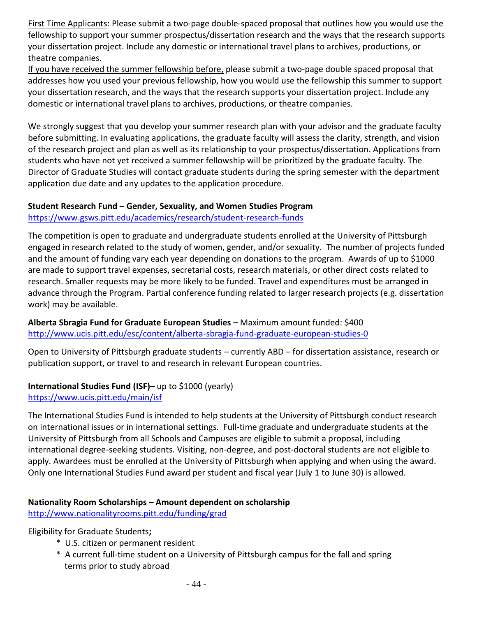First Time Applicants: Please submit a two-page double-spaced proposal that outlines how you would use the fellowship to support your summer prospectus/dissertation research and the ways that the research supports your dissertation project. Include any domestic or international travel plans to archives, productions, or theatre companies.

If you have received the summer fellowship before, please submit a two-page double spaced proposal that addresses how you used your previous fellowship, how you would use the fellowship this summer to support your dissertation research, and the ways that the research supports your dissertation project. Include any domestic or international travel plans to archives, productions, or theatre companies.

We strongly suggest that you develop your summer research plan with your advisor and the graduate faculty before submitting. In evaluating applications, the graduate faculty will assess the clarity, strength, and vision of the research project and plan as well as its relationship to your prospectus/dissertation. Applications from students who have not yet received a summer fellowship will be prioritized by the graduate faculty. The Director of Graduate Studies will contact graduate students during the spring semester with the department application due date and any updates to the application procedure.

#### **Student Research Fund – Gender, Sexuality, and Women Studies Program**

#### <https://www.gsws.pitt.edu/academics/research/student-research-funds>

The competition is open to graduate and undergraduate students enrolled at the University of Pittsburgh engaged in research related to the study of women, gender, and/or sexuality. The number of projects funded and the amount of funding vary each year depending on donations to the program. Awards of up to \$1000 are made to support travel expenses, secretarial costs, research materials, or other direct costs related to research. Smaller requests may be more likely to be funded. Travel and expenditures must be arranged in advance through the Program. Partial conference funding related to larger research projects (e.g. dissertation work) may be available.

#### **Alberta Sbragia Fund for Graduate European Studies –** Maximum amount funded: \$400 <http://www.ucis.pitt.edu/esc/content/alberta-sbragia-fund-graduate-european-studies-0>

Open to University of Pittsburgh graduate students – currently ABD – for dissertation assistance, research or publication support, or travel to and research in relevant European countries.

#### **International Studies Fund (ISF)–** up to \$1000 (yearly) <https://www.ucis.pitt.edu/main/isf>

The International Studies Fund is intended to help students at the University of Pittsburgh conduct research on international issues or in international settings. Full-time graduate and undergraduate students at the University of Pittsburgh from all Schools and Campuses are eligible to submit a proposal, including international degree-seeking students. Visiting, non-degree, and post-doctoral students are not eligible to apply. Awardees must be enrolled at the University of Pittsburgh when applying and when using the award. Only one International Studies Fund award per student and fiscal year (July 1 to June 30) is allowed.

#### **Nationality Room Scholarships – Amount dependent on scholarship**  <http://www.nationalityrooms.pitt.edu/funding/grad>

Eligibility for Graduate Students**;**

- \* U.S. citizen or permanent resident
- \* A current full-time student on a University of Pittsburgh campus for the fall and spring terms prior to study abroad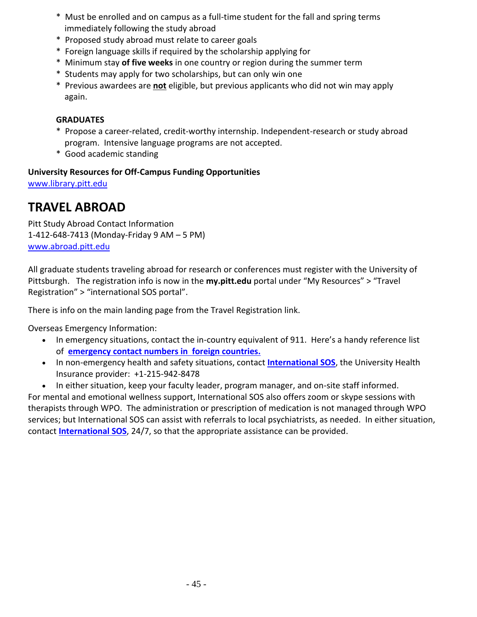- \* Must be enrolled and on campus as a full-time student for the fall and spring terms immediately following the study abroad
- \* Proposed study abroad must relate to career goals
- \* Foreign language skills if required by the scholarship applying for
- \* Minimum stay **of five weeks** in one country or region during the summer term
- \* Students may apply for two scholarships, but can only win one
- \* Previous awardees are **not** eligible, but previous applicants who did not win may apply again.

#### **GRADUATES**

- \* Propose a career-related, credit-worthy internship. Independent-research or study abroad program. Intensive language programs are not accepted.
- \* Good academic standing

#### **University Resources for Off-Campus Funding Opportunities**

<span id="page-44-0"></span>[www.library.pitt.edu](http://www.library.pitt.edu/)

## **TRAVEL ABROAD**

Pitt Study Abroad Contact Information 1-412-648-7413 (Monday-Friday 9 AM – 5 PM) [www.abroad.pitt.edu](http://www.abroad.pitt.edu/)

All graduate students traveling abroad for research or conferences must register with the University of Pittsburgh. The registration info is now in the **my.pitt.edu** portal under "My Resources" > "Travel Registration" > "international SOS portal".

There is info on the main landing page from the Travel Registration link.

Overseas Emergency Information:

- In emergency situations, contact the in-country equivalent of 911.  Here's a handy reference list of  **emergency [contact numbers in  foreign countries.](https://travel.state.gov/content/dam/students-abroad/pdfs/911_ABROAD.pdf)**
- In non-emergency health and safety situations, contact **[International SOS](https://www.internationalsos.com/)**, the University Health Insurance provider:  +1-215-942-8478
- In either situation, keep your faculty leader, program manager, and on-site staff informed.

For mental and emotional wellness support, International SOS also offers zoom or skype sessions with therapists through WPO. The administration or prescription of medication is not managed through WPO services; but International SOS can assist with referrals to local psychiatrists, as needed. In either situation, contact **[International SOS](https://www.internationalsos.com/)**, 24/7, so that the appropriate assistance can be provided.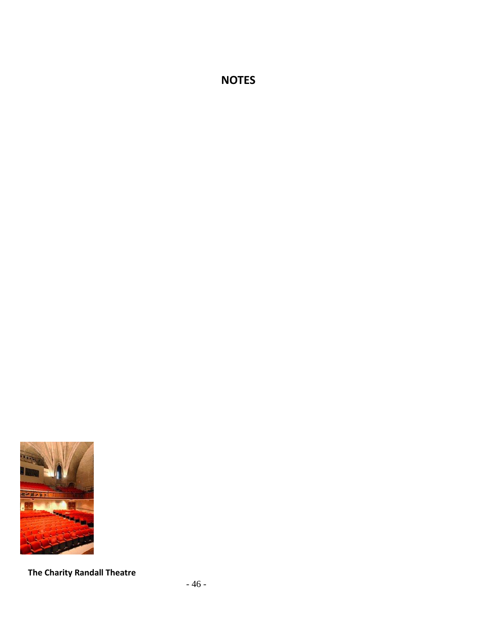**NOTES**



**The Charity Randall Theatre**